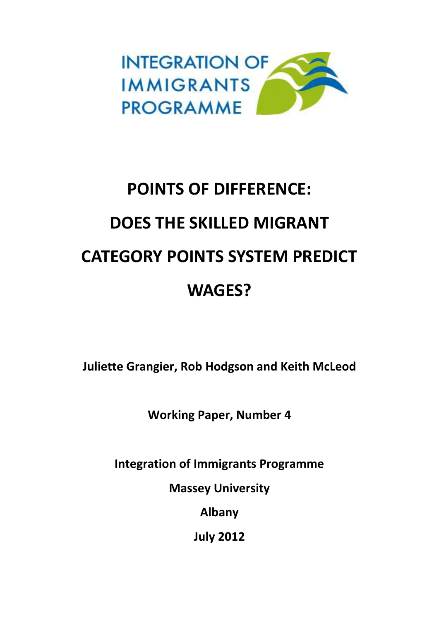

# **POINTS OF DIFFERENCE: DOES THE SKILLED MIGRANT CATEGORY POINTS SYSTEM PREDICT WAGES?**

**Juliette Grangier, Rob Hodgson and Keith McLeod**

**Working Paper, Number 4**

**Integration of Immigrants Programme**

**Massey University**

**Albany**

**July 2012**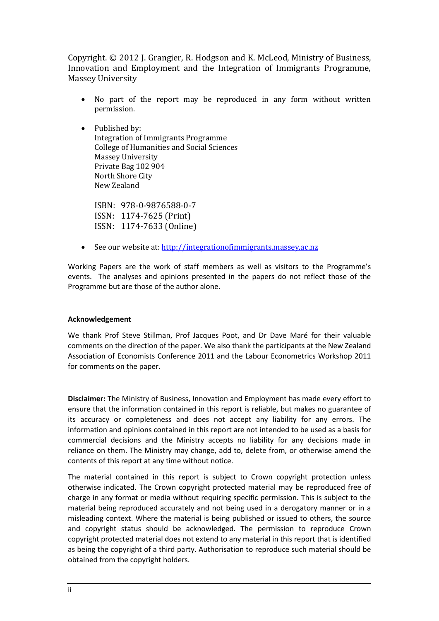Copyright. © 2012 J. Grangier, R. Hodgson and K. McLeod, Ministry of Business, Innovation and Employment and the Integration of Immigrants Programme, Massey University

- No part of the report may be reproduced in any form without written permission.
- Published by: Integration of Immigrants Programme College of Humanities and Social Sciences Massey University Private Bag 102 904 North Shore City New Zealand

ISBN: 978-0-9876588-0-7 ISSN: 1174-7625 (Print) ISSN: 1174-7633 (Online)

See our website at: [http://integrationofimmigrants.massey.ac.nz](http://integrationofimmigrants.massey.ac.nz/)

Working Papers are the work of staff members as well as visitors to the Programme's events. The analyses and opinions presented in the papers do not reflect those of the Programme but are those of the author alone.

### **Acknowledgement**

We thank Prof Steve Stillman, Prof Jacques Poot, and Dr Dave Maré for their valuable comments on the direction of the paper. We also thank the participants at the New Zealand Association of Economists Conference 2011 and the Labour Econometrics Workshop 2011 for comments on the paper.

**Disclaimer:** The Ministry of Business, Innovation and Employment has made every effort to ensure that the information contained in this report is reliable, but makes no guarantee of its accuracy or completeness and does not accept any liability for any errors. The information and opinions contained in this report are not intended to be used as a basis for commercial decisions and the Ministry accepts no liability for any decisions made in reliance on them. The Ministry may change, add to, delete from, or otherwise amend the contents of this report at any time without notice.

The material contained in this report is subject to Crown copyright protection unless otherwise indicated. The Crown copyright protected material may be reproduced free of charge in any format or media without requiring specific permission. This is subject to the material being reproduced accurately and not being used in a derogatory manner or in a misleading context. Where the material is being published or issued to others, the source and copyright status should be acknowledged. The permission to reproduce Crown copyright protected material does not extend to any material in this report that is identified as being the copyright of a third party. Authorisation to reproduce such material should be obtained from the copyright holders.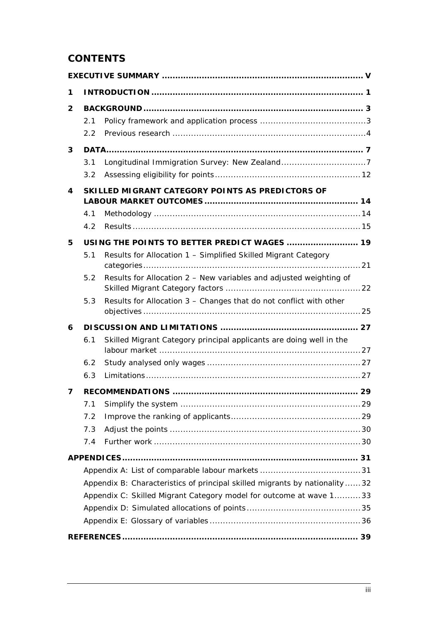# **CONTENTS**

| 1            |     |                                                                            |  |
|--------------|-----|----------------------------------------------------------------------------|--|
| $\mathbf{2}$ |     |                                                                            |  |
|              | 2.1 |                                                                            |  |
|              | 2.2 |                                                                            |  |
| 3            |     |                                                                            |  |
|              | 3.1 |                                                                            |  |
|              | 3.2 |                                                                            |  |
| 4            |     | SKILLED MIGRANT CATEGORY POINTS AS PREDICTORS OF                           |  |
|              | 4.1 |                                                                            |  |
|              | 4.2 |                                                                            |  |
| 5            |     | USING THE POINTS TO BETTER PREDICT WAGES  19                               |  |
|              | 5.1 | Results for Allocation 1 - Simplified Skilled Migrant Category             |  |
|              |     |                                                                            |  |
|              | 5.2 | Results for Allocation 2 - New variables and adjusted weighting of         |  |
|              | 5.3 | Results for Allocation 3 - Changes that do not conflict with other         |  |
| 6            |     |                                                                            |  |
|              | 6.1 | Skilled Migrant Category principal applicants are doing well in the        |  |
|              | 6.2 |                                                                            |  |
|              | 6.3 |                                                                            |  |
| 7            |     |                                                                            |  |
|              | 7.1 |                                                                            |  |
|              | 7.2 |                                                                            |  |
|              | 7.3 |                                                                            |  |
|              | 7.4 |                                                                            |  |
|              |     |                                                                            |  |
|              |     |                                                                            |  |
|              |     | Appendix B: Characteristics of principal skilled migrants by nationality32 |  |
|              |     | Appendix C: Skilled Migrant Category model for outcome at wave 133         |  |
|              |     |                                                                            |  |
|              |     |                                                                            |  |
|              |     |                                                                            |  |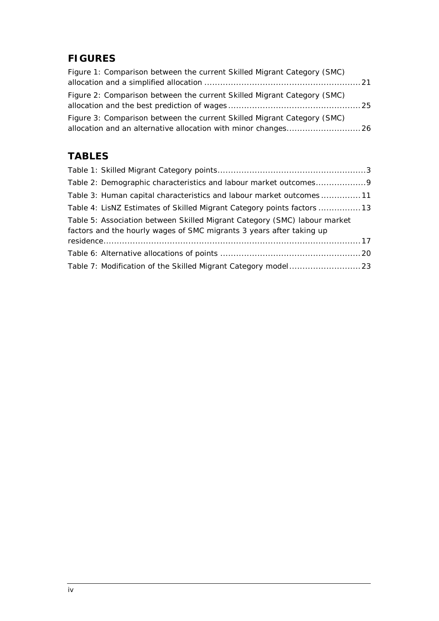# **FIGURES**

| Figure 1: Comparison between the current Skilled Migrant Category (SMC) |  |
|-------------------------------------------------------------------------|--|
| Figure 2: Comparison between the current Skilled Migrant Category (SMC) |  |
| Figure 3: Comparison between the current Skilled Migrant Category (SMC) |  |

# **TABLES**

| Table 3: Human capital characteristics and labour market outcomes11                                                                               |  |
|---------------------------------------------------------------------------------------------------------------------------------------------------|--|
| Table 4: LisNZ Estimates of Skilled Migrant Category points factors 13                                                                            |  |
| Table 5: Association between Skilled Migrant Category (SMC) labour market<br>factors and the hourly wages of SMC migrants 3 years after taking up |  |
|                                                                                                                                                   |  |
|                                                                                                                                                   |  |
|                                                                                                                                                   |  |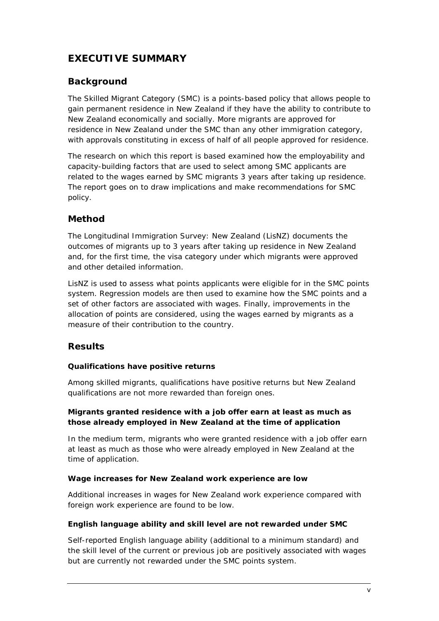# <span id="page-4-0"></span>**EXECUTIVE SUMMARY**

### **Background**

The Skilled Migrant Category (SMC) is a points-based policy that allows people to gain permanent residence in New Zealand if they have the ability to contribute to New Zealand economically and socially. More migrants are approved for residence in New Zealand under the SMC than any other immigration category, with approvals constituting in excess of half of all people approved for residence.

The research on which this report is based examined how the employability and capacity-building factors that are used to select among SMC applicants are related to the wages earned by SMC migrants 3 years after taking up residence. The report goes on to draw implications and make recommendations for SMC policy.

# **Method**

The Longitudinal Immigration Survey: New Zealand (LisNZ) documents the outcomes of migrants up to 3 years after taking up residence in New Zealand and, for the first time, the visa category under which migrants were approved and other detailed information.

LisNZ is used to assess what points applicants were eligible for in the SMC points system. Regression models are then used to examine how the SMC points and a set of other factors are associated with wages. Finally, improvements in the allocation of points are considered, using the wages earned by migrants as a measure of their contribution to the country.

### **Results**

### *Qualifications have positive returns*

Among skilled migrants, qualifications have positive returns but New Zealand qualifications are not more rewarded than foreign ones.

### *Migrants granted residence with a job offer earn at least as much as those already employed in New Zealand at the time of application*

In the medium term, migrants who were granted residence with a job offer earn at least as much as those who were already employed in New Zealand at the time of application.

### *Wage increases for New Zealand work experience are low*

Additional increases in wages for New Zealand work experience compared with foreign work experience are found to be low.

### *English language ability and skill level are not rewarded under SMC*

Self-reported English language ability (additional to a minimum standard) and the skill level of the current or previous job are positively associated with wages but are currently not rewarded under the SMC points system.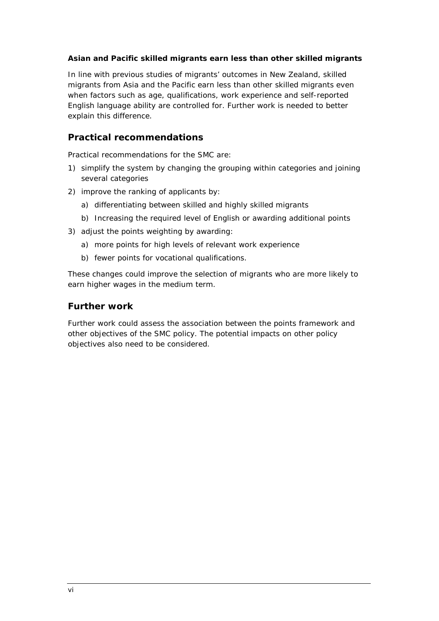### *Asian and Pacific skilled migrants earn less than other skilled migrants*

In line with previous studies of migrants' outcomes in New Zealand, skilled migrants from Asia and the Pacific earn less than other skilled migrants even when factors such as age, qualifications, work experience and self-reported English language ability are controlled for. Further work is needed to better explain this difference.

### **Practical recommendations**

Practical recommendations for the SMC are:

- 1) simplify the system by changing the grouping within categories and joining several categories
- 2) improve the ranking of applicants by:
	- a) differentiating between skilled and highly skilled migrants
	- b) Increasing the required level of English or awarding additional points
- 3) adjust the points weighting by awarding:
	- a) more points for high levels of relevant work experience
	- b) fewer points for vocational qualifications.

These changes could improve the selection of migrants who are more likely to earn higher wages in the medium term.

### **Further work**

Further work could assess the association between the points framework and other objectives of the SMC policy. The potential impacts on other policy objectives also need to be considered.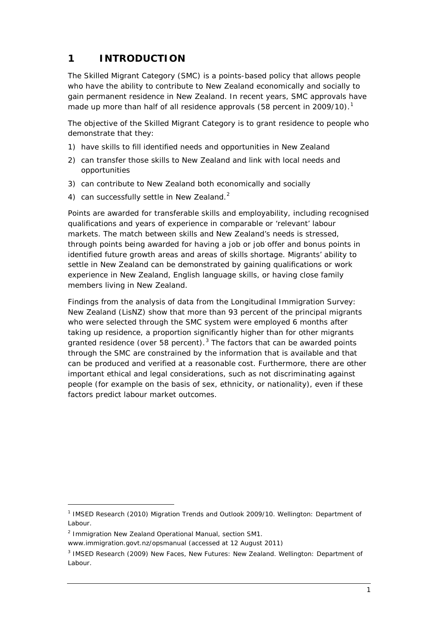# <span id="page-6-0"></span>**1 INTRODUCTION**

The Skilled Migrant Category (SMC) is a points-based policy that allows people who have the ability to contribute to New Zealand economically and socially to gain permanent residence in New Zealand. In recent years, SMC approvals have made up more than half of all residence approvals (58 percent in 2009/[1](#page-6-1)0).<sup>1</sup>

The objective of the Skilled Migrant Category is to grant residence to people who demonstrate that they:

- 1) have skills to fill identified needs and opportunities in New Zealand
- 2) can transfer those skills to New Zealand and link with local needs and opportunities
- 3) can contribute to New Zealand both economically and socially
- 4) can successfully settle in New Zealand.<sup>[2](#page-6-2)</sup>

Points are awarded for transferable skills and employability, including recognised qualifications and years of experience in comparable or 'relevant' labour markets. The match between skills and New Zealand's needs is stressed, through points being awarded for having a job or job offer and bonus points in identified future growth areas and areas of skills shortage. Migrants' ability to settle in New Zealand can be demonstrated by gaining qualifications or work experience in New Zealand, English language skills, or having close family members living in New Zealand.

Findings from the analysis of data from the Longitudinal Immigration Survey: New Zealand (LisNZ) show that more than 93 percent of the principal migrants who were selected through the SMC system were employed 6 months after taking up residence, a proportion significantly higher than for other migrants granted residence (over 58 percent). $3$  The factors that can be awarded points through the SMC are constrained by the information that is available and that can be produced and verified at a reasonable cost. Furthermore, there are other important ethical and legal considerations, such as not discriminating against people (for example on the basis of sex, ethnicity, or nationality), even if these factors predict labour market outcomes.

<span id="page-6-2"></span><sup>2</sup> Immigration New Zealand *Operational Manual*, section SM1.

 $\overline{a}$ 

www.immigration.govt.nz/opsmanual (accessed at 12 August 2011)

<span id="page-6-1"></span><sup>1</sup> IMSED Research (2010) *Migration Trends and Outlook 2009/10*. Wellington: Department of Labour.

<span id="page-6-3"></span><sup>3</sup> IMSED Research (2009) *New Faces, New Futures: New Zealand.* Wellington: Department of Labour.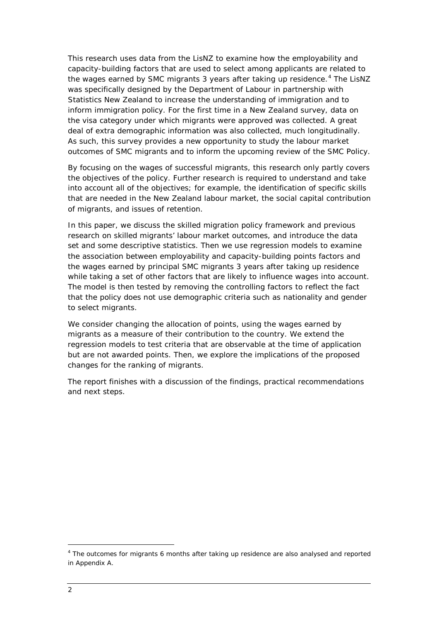This research uses data from the LisNZ to examine how the employability and capacity-building factors that are used to select among applicants are related to the wages earned by SMC migrants 3 years after taking up residence.<sup>[4](#page-7-0)</sup> The LisNZ was specifically designed by the Department of Labour in partnership with Statistics New Zealand to increase the understanding of immigration and to inform immigration policy. For the first time in a New Zealand survey, data on the visa category under which migrants were approved was collected. A great deal of extra demographic information was also collected, much longitudinally. As such, this survey provides a new opportunity to study the labour market outcomes of SMC migrants and to inform the upcoming review of the SMC Policy.

By focusing on the wages of successful migrants, this research only partly covers the objectives of the policy. Further research is required to understand and take into account all of the objectives; for example, the identification of specific skills that are needed in the New Zealand labour market, the social capital contribution of migrants, and issues of retention.

In this paper, we discuss the skilled migration policy framework and previous research on skilled migrants' labour market outcomes, and introduce the data set and some descriptive statistics. Then we use regression models to examine the association between employability and capacity-building points factors and the wages earned by principal SMC migrants 3 years after taking up residence while taking a set of other factors that are likely to influence wages into account. The model is then tested by removing the controlling factors to reflect the fact that the policy does not use demographic criteria such as nationality and gender to select migrants.

We consider changing the allocation of points, using the wages earned by migrants as a measure of their contribution to the country. We extend the regression models to test criteria that are observable at the time of application but are not awarded points. Then, we explore the implications of the proposed changes for the ranking of migrants.

The report finishes with a discussion of the findings, practical recommendations and next steps.

<span id="page-7-0"></span><sup>4</sup> The outcomes for migrants 6 months after taking up residence are also analysed and reported in Appendix A.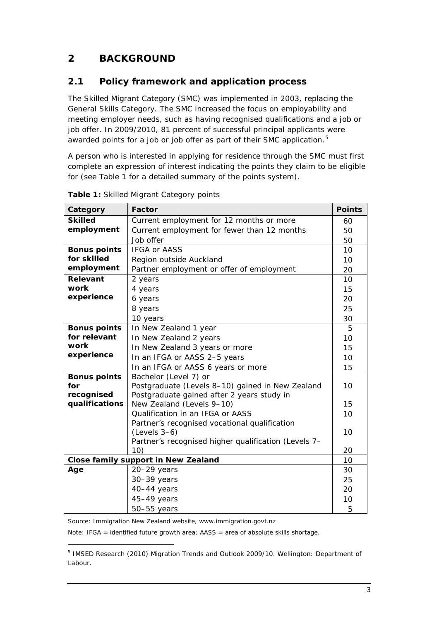# <span id="page-8-0"></span>**2 BACKGROUND**

# <span id="page-8-1"></span>**2.1 Policy framework and application process**

The Skilled Migrant Category (SMC) was implemented in 2003, replacing the General Skills Category. The SMC increased the focus on employability and meeting employer needs, such as having recognised qualifications and a job or job offer. In 2009/2010, 81 percent of successful principal applicants were awarded points for a job or job offer as part of their SMC application.<sup>[5](#page-8-3)</sup>

A person who is interested in applying for residence through the SMC must first complete an expression of interest indicating the points they claim to be eligible for (see [Table 1](#page-8-2) for a detailed summary of the points system).

| Category                                                | <b>Factor</b>                                        | <b>Points</b> |  |  |
|---------------------------------------------------------|------------------------------------------------------|---------------|--|--|
| <b>Skilled</b>                                          | Current employment for 12 months or more             | 60            |  |  |
| employment                                              | Current employment for fewer than 12 months          | 50            |  |  |
|                                                         | Job offer                                            | 50            |  |  |
| <b>Bonus points</b>                                     | <b>IFGA or AASS</b>                                  |               |  |  |
| for skilled<br>Region outside Auckland                  |                                                      |               |  |  |
| employment<br>Partner employment or offer of employment |                                                      |               |  |  |
| Relevant<br>2 years                                     |                                                      | 10            |  |  |
| work<br>4 years                                         |                                                      | 15            |  |  |
| experience<br>6 years                                   |                                                      | 20            |  |  |
|                                                         | 8 years                                              | 25            |  |  |
|                                                         | 10 years                                             | 30            |  |  |
| <b>Bonus points</b>                                     | In New Zealand 1 year                                | 5             |  |  |
| for relevant                                            | In New Zealand 2 years                               | 10            |  |  |
| work                                                    | In New Zealand 3 years or more                       | 15            |  |  |
| experience<br>In an IFGA or AASS 2-5 years              |                                                      | 10            |  |  |
|                                                         | In an IFGA or AASS 6 years or more                   | 15            |  |  |
| <b>Bonus points</b>                                     | Bachelor (Level 7) or                                |               |  |  |
| for                                                     | Postgraduate (Levels 8-10) gained in New Zealand     | 10            |  |  |
| recognised                                              | Postgraduate gained after 2 years study in           |               |  |  |
| qualifications                                          | New Zealand (Levels 9-10)                            | 15            |  |  |
|                                                         | Qualification in an IFGA or AASS                     | 10            |  |  |
|                                                         | Partner's recognised vocational qualification        |               |  |  |
|                                                         | $(Levels 3-6)$                                       | 10            |  |  |
|                                                         | Partner's recognised higher qualification (Levels 7- | 20            |  |  |
|                                                         | 10)<br><b>Close family support in New Zealand</b>    | 10            |  |  |
| Age                                                     | 20-29 years                                          | 30            |  |  |
|                                                         | $30-39$ years                                        | 25            |  |  |
|                                                         | 40-44 years                                          | 20            |  |  |
|                                                         | 45-49 years                                          | 10            |  |  |
|                                                         | $50 - 55$ years                                      | 5             |  |  |
|                                                         |                                                      |               |  |  |

<span id="page-8-2"></span>**Table 1:** Skilled Migrant Category points

Source: Immigration New Zealand website, www.immigration.govt.nz

 $\overline{a}$ 

Note: IFGA = identified future growth area; AASS = area of absolute skills shortage.

<span id="page-8-3"></span><sup>5</sup> IMSED Research (2010) *Migration Trends and Outlook 2009/10*. Wellington: Department of Labour.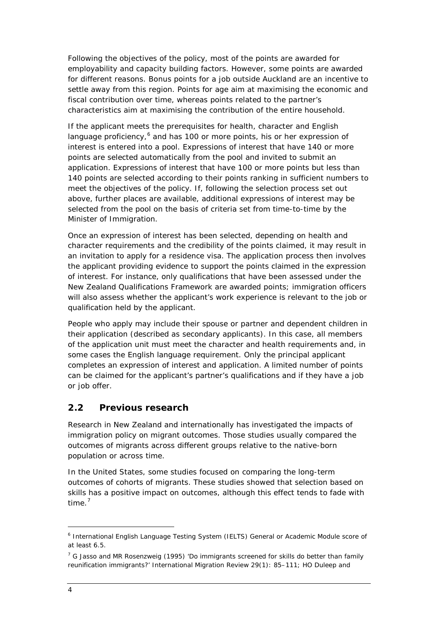Following the objectives of the policy, most of the points are awarded for employability and capacity building factors. However, some points are awarded for different reasons. Bonus points for a job outside Auckland are an incentive to settle away from this region. Points for age aim at maximising the economic and fiscal contribution over time, whereas points related to the partner's characteristics aim at maximising the contribution of the entire household.

If the applicant meets the prerequisites for health, character and English language proficiency,<sup>[6](#page-9-1)</sup> and has 100 or more points, his or her expression of interest is entered into a pool. Expressions of interest that have 140 or more points are selected automatically from the pool and invited to submit an application. Expressions of interest that have 100 or more points but less than 140 points are selected according to their points ranking in sufficient numbers to meet the objectives of the policy. If, following the selection process set out above, further places are available, additional expressions of interest may be selected from the pool on the basis of criteria set from time-to-time by the Minister of Immigration.

Once an expression of interest has been selected, depending on health and character requirements and the credibility of the points claimed, it may result in an invitation to apply for a residence visa. The application process then involves the applicant providing evidence to support the points claimed in the expression of interest. For instance, only qualifications that have been assessed under the New Zealand Qualifications Framework are awarded points; immigration officers will also assess whether the applicant's work experience is relevant to the job or qualification held by the applicant.

People who apply may include their spouse or partner and dependent children in their application (described as secondary applicants). In this case, all members of the application unit must meet the character and health requirements and, in some cases the English language requirement. Only the principal applicant completes an expression of interest and application. A limited number of points can be claimed for the applicant's partner's qualifications and if they have a job or job offer.

### <span id="page-9-0"></span>**2.2 Previous research**

Research in New Zealand and internationally has investigated the impacts of immigration policy on migrant outcomes. Those studies usually compared the outcomes of migrants across different groups relative to the native-born population or across time.

In the United States, some studies focused on comparing the long-term outcomes of cohorts of migrants. These studies showed that selection based on skills has a positive impact on outcomes, although this effect tends to fade with time.<sup>[7](#page-9-2)</sup>

<span id="page-9-1"></span><sup>6</sup> International English Language Testing System (IELTS) General or Academic Module score of at least 6.5.

<span id="page-9-2"></span> $7$  G Jasso and MR Rosenzweig (1995) 'Do immigrants screened for skills do better than family reunification immigrants?' *International Migration Review* 29(1): 85–111; HO Duleep and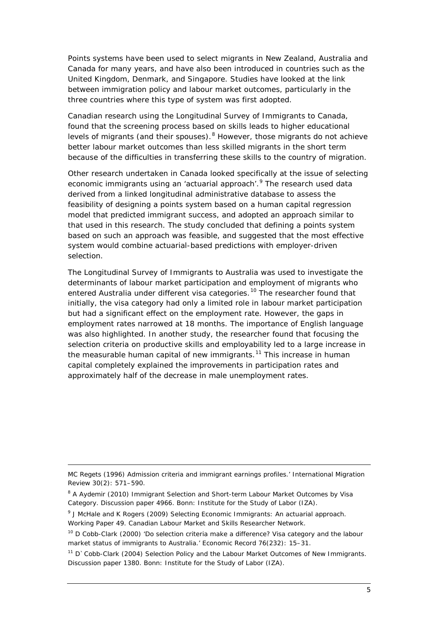Points systems have been used to select migrants in New Zealand, Australia and Canada for many years, and have also been introduced in countries such as the United Kingdom, Denmark, and Singapore. Studies have looked at the link between immigration policy and labour market outcomes, particularly in the three countries where this type of system was first adopted.

Canadian research using the Longitudinal Survey of Immigrants to Canada, found that the screening process based on skills leads to higher educational levels of migrants (and their spouses). <sup>[8](#page-10-0)</sup> However, those migrants do not achieve better labour market outcomes than less skilled migrants in the short term because of the difficulties in transferring these skills to the country of migration.

Other research undertaken in Canada looked specifically at the issue of selecting economic immigrants using an 'actuarial approach'. <sup>[9](#page-10-1)</sup> The research used data derived from a linked longitudinal administrative database to assess the feasibility of designing a points system based on a human capital regression model that predicted immigrant success, and adopted an approach similar to that used in this research. The study concluded that defining a points system based on such an approach was feasible, and suggested that the most effective system would combine actuarial-based predictions with employer-driven selection.

The Longitudinal Survey of Immigrants to Australia was used to investigate the determinants of labour market participation and employment of migrants who entered Australia under different visa categories.<sup>[10](#page-10-2)</sup> The researcher found that initially, the visa category had only a limited role in labour market participation but had a significant effect on the employment rate. However, the gaps in employment rates narrowed at 18 months. The importance of English language was also highlighted. In another study, the researcher found that focusing the selection criteria on productive skills and employability led to a large increase in the measurable human capital of new immigrants.<sup>[11](#page-10-3)</sup> This increase in human capital completely explained the improvements in participation rates and approximately half of the decrease in male unemployment rates.

MC Regets (1996) Admission criteria and immigrant earnings profiles.' *International Migration Review* 30(2): 571–590.

<span id="page-10-0"></span><sup>8</sup> A Aydemir (2010) *Immigrant Selection and Short-term Labour Market Outcomes by Visa Category*. Discussion paper 4966. Bonn: Institute for the Study of Labor (IZA).

<span id="page-10-1"></span><sup>9</sup> J McHale and K Rogers (2009) *Selecting Economic Immigrants: An actuarial approach.* Working Paper 49. Canadian Labour Market and Skills Researcher Network.

<span id="page-10-2"></span><sup>&</sup>lt;sup>10</sup> D Cobb-Clark (2000) 'Do selection criteria make a difference? Visa category and the labour market status of immigrants to Australia.' *Economic Record* 76(232): 15–31.

<span id="page-10-3"></span><sup>11</sup> D`Cobb-Clark (2004) *Selection Policy and the Labour Market Outcomes of New Immigrants.* Discussion paper 1380. Bonn: Institute for the Study of Labor (IZA).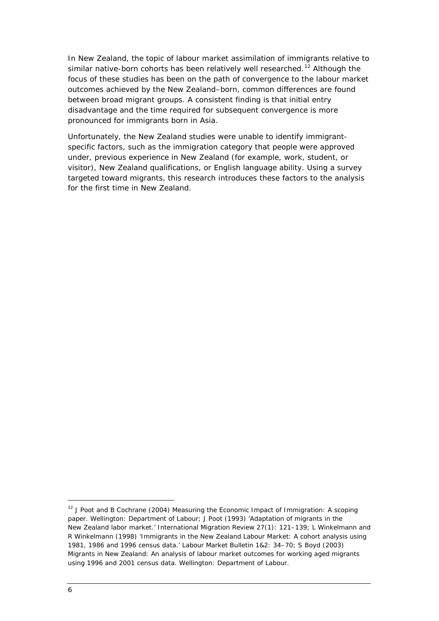In New Zealand, the topic of labour market assimilation of immigrants relative to similar native-born cohorts has been relatively well researched.<sup>[12](#page-11-0)</sup> Although the focus of these studies has been on the path of convergence to the labour market outcomes achieved by the New Zealand–born, common differences are found between broad migrant groups. A consistent finding is that initial entry disadvantage and the time required for subsequent convergence is more pronounced for immigrants born in Asia.

Unfortunately, the New Zealand studies were unable to identify immigrantspecific factors, such as the immigration category that people were approved under, previous experience in New Zealand (for example, work, student, or visitor), New Zealand qualifications, or English language ability. Using a survey targeted toward migrants, this research introduces these factors to the analysis for the first time in New Zealand.

<span id="page-11-0"></span><sup>12</sup> J Poot and B Cochrane (2004) *Measuring the Economic Impact of Immigration: A scoping paper*. Wellington: Department of Labour; J Poot (1993) 'Adaptation of migrants in the New Zealand labor market.' *International Migration Review* 27(1): 121–139; L Winkelmann and R Winkelmann (1998) 'Immigrants in the New Zealand Labour Market: A cohort analysis using 1981, 1986 and 1996 census data.' *Labour Market Bulletin* 1&2: 34–70; S Boyd (2003) *Migrants in New Zealand: An analysis of labour market outcomes for working aged migrants using 1996 and 2001 census data*. Wellington: Department of Labour.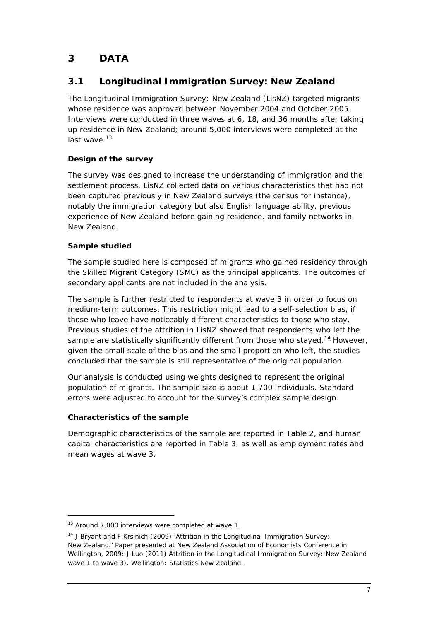# <span id="page-12-0"></span>**3 DATA**

# <span id="page-12-1"></span>**3.1 Longitudinal Immigration Survey: New Zealand**

The Longitudinal Immigration Survey: New Zealand (LisNZ) targeted migrants whose residence was approved between November 2004 and October 2005. Interviews were conducted in three waves at 6, 18, and 36 months after taking up residence in New Zealand; around 5,000 interviews were completed at the last wave. $13$ 

### *Design of the survey*

The survey was designed to increase the understanding of immigration and the settlement process. LisNZ collected data on various characteristics that had not been captured previously in New Zealand surveys (the census for instance), notably the immigration category but also English language ability, previous experience of New Zealand before gaining residence, and family networks in New Zealand.

### *Sample studied*

The sample studied here is composed of migrants who gained residency through the Skilled Migrant Category (SMC) as the principal applicants. The outcomes of secondary applicants are not included in the analysis.

The sample is further restricted to respondents at wave 3 in order to focus on medium-term outcomes. This restriction might lead to a self-selection bias, if those who leave have noticeably different characteristics to those who stay. Previous studies of the attrition in LisNZ showed that respondents who left the sample are statistically significantly different from those who stayed.<sup>[14](#page-12-3)</sup> However, given the small scale of the bias and the small proportion who left, the studies concluded that the sample is still representative of the original population.

Our analysis is conducted using weights designed to represent the original population of migrants. The sample size is about 1,700 individuals. Standard errors were adjusted to account for the survey's complex sample design.

### *Characteristics of the sample*

 $\overline{a}$ 

Demographic characteristics of the sample are reported in [Table 2,](#page-14-0) and human capital characteristics are reported in [Table 3,](#page-16-0) as well as employment rates and mean wages at wave 3.

<span id="page-12-2"></span><sup>&</sup>lt;sup>13</sup> Around 7,000 interviews were completed at wave 1.

<span id="page-12-3"></span><sup>&</sup>lt;sup>14</sup> J Bryant and F Krsinich (2009) 'Attrition in the Longitudinal Immigration Survey: New Zealand.' Paper presented at New Zealand Association of Economists Conference in Wellington, 2009; J Luo (2011) *Attrition in the Longitudinal Immigration Survey: New Zealand wave 1 to wave 3)*. Wellington: Statistics New Zealand.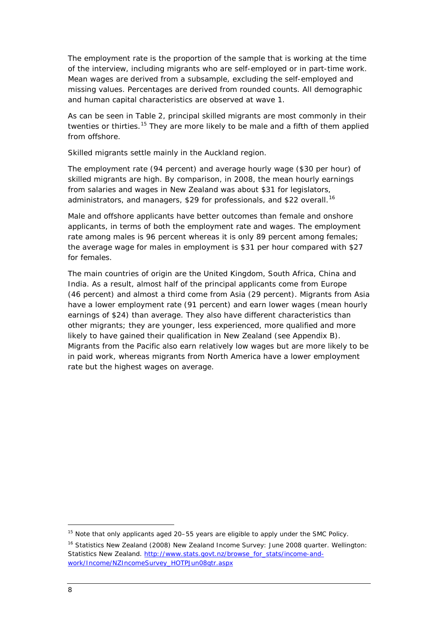The employment rate is the proportion of the sample that is working at the time of the interview, including migrants who are self-employed or in part-time work. Mean wages are derived from a subsample, excluding the self-employed and missing values. Percentages are derived from rounded counts. All demographic and human capital characteristics are observed at wave 1.

As can be seen in [Table 2,](#page-14-0) principal skilled migrants are most commonly in their twenties or thirties.<sup>[15](#page-13-0)</sup> They are more likely to be male and a fifth of them applied from offshore.

Skilled migrants settle mainly in the Auckland region.

The employment rate (94 percent) and average hourly wage (\$30 per hour) of skilled migrants are high. By comparison, in 2008, the mean hourly earnings from salaries and wages in New Zealand was about \$31 for legislators, administrators, and managers, \$29 for professionals, and \$22 overall.<sup>[16](#page-13-1)</sup>

Male and offshore applicants have better outcomes than female and onshore applicants, in terms of both the employment rate and wages. The employment rate among males is 96 percent whereas it is only 89 percent among females; the average wage for males in employment is \$31 per hour compared with \$27 for females.

The main countries of origin are the United Kingdom, South Africa, China and India. As a result, almost half of the principal applicants come from Europe (46 percent) and almost a third come from Asia (29 percent). Migrants from Asia have a lower employment rate (91 percent) and earn lower wages (mean hourly earnings of \$24) than average. They also have different characteristics than other migrants; they are younger, less experienced, more qualified and more likely to have gained their qualification in New Zealand (see Appendix B). Migrants from the Pacific also earn relatively low wages but are more likely to be in paid work, whereas migrants from North America have a lower employment rate but the highest wages on average.

<span id="page-13-0"></span><sup>&</sup>lt;sup>15</sup> Note that only applicants aged 20–55 years are eligible to apply under the SMC Policy.

<span id="page-13-1"></span><sup>16</sup> Statistics New Zealand (2008) *New Zealand Income Survey: June 2008 quarter*. Wellington: Statistics New Zealand. [http://www.stats.govt.nz/browse\\_for\\_stats/income-and](http://www.stats.govt.nz/browse_for_stats/income-and-work/Income/NZIncomeSurvey_HOTPJun08qtr.aspx)[work/Income/NZIncomeSurvey\\_HOTPJun08qtr.aspx](http://www.stats.govt.nz/browse_for_stats/income-and-work/Income/NZIncomeSurvey_HOTPJun08qtr.aspx)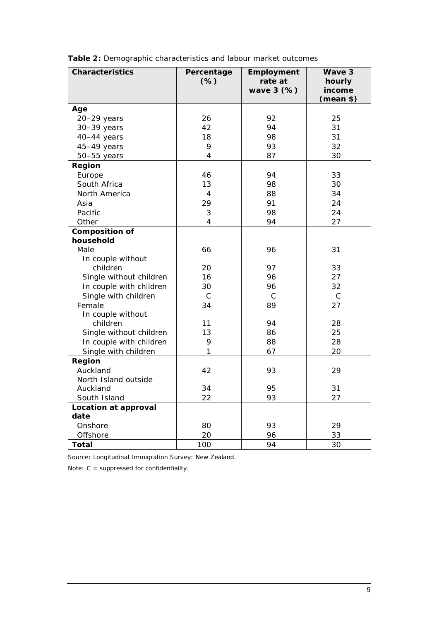<span id="page-14-0"></span>

|  | Table 2: Demographic characteristics and labour market outcomes |  |  |
|--|-----------------------------------------------------------------|--|--|
|  |                                                                 |  |  |

| <b>Characteristics</b>      | Percentage     | Employment   | Wave 3           |
|-----------------------------|----------------|--------------|------------------|
|                             | (% )           | rate at      | hourly<br>income |
|                             |                | wave 3 (%)   | (mean \$)        |
| Age                         |                |              |                  |
| $20 - 29$ years             | 26             | 92           | 25               |
| 30-39 years                 | 42             | 94           | 31               |
| 40-44 years                 | 18             | 98           | 31               |
| 45-49 years                 | 9              | 93           | 32               |
| $50 - 55$ years             | 4              | 87           | 30               |
| Region                      |                |              |                  |
| Europe                      | 46             | 94           | 33               |
| South Africa                | 13             | 98           | 30               |
| North America               | $\overline{4}$ | 88           | 34               |
| Asia                        | 29             | 91           | 24               |
| Pacific                     | 3              | 98           | 24               |
| Other                       | 4              | 94           | 27               |
| <b>Composition of</b>       |                |              |                  |
| household                   |                |              |                  |
| Male                        | 66             | 96           | 31               |
| In couple without           |                |              |                  |
| children                    | 20             | 97           | 33               |
| Single without children     | 16             | 96           | 27               |
| In couple with children     | 30             | 96           | 32               |
| Single with children        | $\mathcal{C}$  | $\mathsf{C}$ | $\mathcal{C}$    |
| Female                      | 34             | 89           | 27               |
| In couple without           |                |              |                  |
| children                    | 11             | 94           | 28               |
| Single without children     | 13             | 86           | 25               |
| In couple with children     | 9              | 88           | 28               |
| Single with children        | 1              | 67           | 20               |
| Region                      |                |              |                  |
| Auckland                    | 42             | 93           | 29               |
| North Island outside        |                |              |                  |
| Auckland                    | 34             | 95           | 31               |
| South Island                | 22             | 93           | 27               |
| <b>Location at approval</b> |                |              |                  |
| date                        |                |              |                  |
| Onshore                     | 80             | 93           | 29               |
| Offshore                    | 20             | 96           | 33               |
| <b>Total</b>                | 100            | 94           | 30               |

Source: Longitudinal Immigration Survey: New Zealand.

Note: C = suppressed for confidentiality.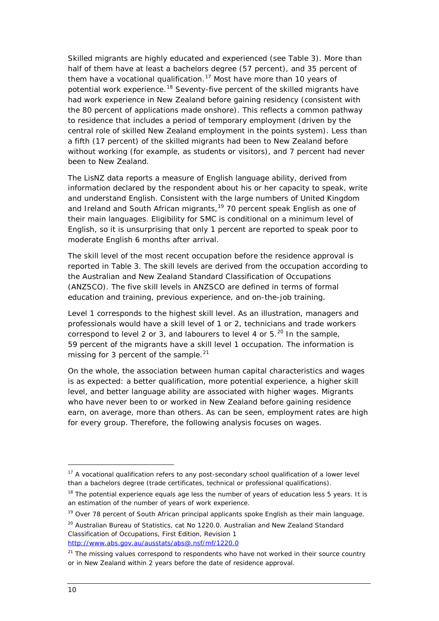Skilled migrants are highly educated and experienced (see [Table 3\)](#page-16-0). More than half of them have at least a bachelors degree (57 percent), and 35 percent of them have a vocational qualification.<sup>[17](#page-15-0)</sup> Most have more than 10 years of potential work experience.<sup>[18](#page-15-1)</sup> Seventy-five percent of the skilled migrants have had work experience in New Zealand before gaining residency (consistent with the 80 percent of applications made onshore). This reflects a common pathway to residence that includes a period of temporary employment (driven by the central role of skilled New Zealand employment in the points system). Less than a fifth (17 percent) of the skilled migrants had been to New Zealand before without working (for example, as students or visitors), and 7 percent had never been to New Zealand.

The LisNZ data reports a measure of English language ability, derived from information declared by the respondent about his or her capacity to speak, write and understand English. Consistent with the large numbers of United Kingdom and Ireland and South African migrants, <sup>[19](#page-15-2)</sup> 70 percent speak English as one of their main languages. Eligibility for SMC is conditional on a minimum level of English, so it is unsurprising that only 1 percent are reported to speak poor to moderate English 6 months after arrival.

<span id="page-15-5"></span>The skill level of the most recent occupation before the residence approval is reported in [Table 3.](#page-16-0) The skill levels are derived from the occupation according to the Australian and New Zealand Standard Classification of Occupations (ANZSCO). The five skill levels in ANZSCO are defined in terms of formal education and training, previous experience, and on-the-job training.

Level 1 corresponds to the highest skill level. As an illustration, managers and professionals would have a skill level of 1 or 2, technicians and trade workers correspond to level 2 or 3, and labourers to level 4 or  $5.^{20}$  $5.^{20}$  $5.^{20}$  In the sample, 59 percent of the migrants have a skill level 1 occupation. The information is missing for 3 percent of the sample. $21$ 

On the whole, the association between human capital characteristics and wages is as expected: a better qualification, more potential experience, a higher skill level, and better language ability are associated with higher wages. Migrants who have never been to or worked in New Zealand before gaining residence earn, on average, more than others. As can be seen, employment rates are high for every group. Therefore, the following analysis focuses on wages.

<span id="page-15-2"></span><sup>19</sup> Over 78 percent of South African principal applicants spoke English as their main language.

<span id="page-15-0"></span><sup>&</sup>lt;sup>17</sup> A vocational qualification refers to any post-secondary school qualification of a lower level than a bachelors degree (trade certificates, technical or professional qualifications).

<span id="page-15-1"></span> $18$  The potential experience equals age less the number of years of education less 5 years. It is an estimation of the number of years of work experience.

<span id="page-15-3"></span><sup>&</sup>lt;sup>20</sup> Australian Bureau of Statistics, cat No 1220.0. Australian and New Zealand Standard Classification of Occupations, First Edition, Revision 1 <http://www.abs.gov.au/ausstats/abs@.nsf/mf/1220.0>

<span id="page-15-4"></span><sup>&</sup>lt;sup>21</sup> The missing values correspond to respondents who have not worked in their source country or in New Zealand within 2 years before the date of residence approval.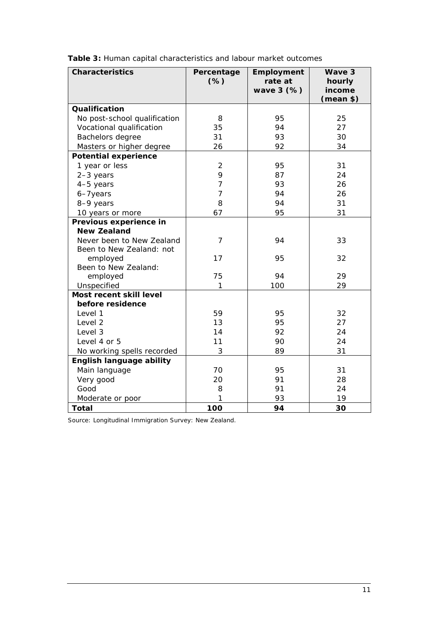| <b>Characteristics</b>          | Percentage<br>$(\%)$ | Employment<br>rate at<br>wave 3 (%) | Wave 3<br>hourly<br>income |
|---------------------------------|----------------------|-------------------------------------|----------------------------|
|                                 |                      |                                     | (mean \$)                  |
| Qualification                   |                      |                                     |                            |
| No post-school qualification    | 8                    | 95                                  | 25                         |
| Vocational qualification        | 35                   | 94                                  | 27                         |
| Bachelors degree                | 31                   | 93                                  | 30                         |
| Masters or higher degree        | 26                   | 92                                  | 34                         |
| <b>Potential experience</b>     |                      |                                     |                            |
| 1 year or less                  | $\overline{2}$       | 95                                  | 31                         |
| $2-3$ years                     | 9                    | 87                                  | 24                         |
| 4-5 years                       | $\overline{7}$       | 93                                  | 26                         |
| 6-7years                        | $\overline{7}$       | 94                                  | 26                         |
| 8-9 years                       | 8                    | 94                                  | 31                         |
| 10 years or more                | 67                   | 95                                  | 31                         |
| Previous experience in          |                      |                                     |                            |
| <b>New Zealand</b>              |                      |                                     |                            |
| Never been to New Zealand       | $\overline{7}$       | 94                                  | 33                         |
| Been to New Zealand: not        |                      |                                     |                            |
| employed                        | 17                   | 95                                  | 32                         |
| Been to New Zealand:            |                      |                                     |                            |
| employed                        | 75                   | 94                                  | 29                         |
| Unspecified                     | 1                    | 100                                 | 29                         |
| Most recent skill level         |                      |                                     |                            |
| before residence                |                      |                                     |                            |
| Level 1                         | 59                   | 95                                  | 32                         |
| Level 2                         | 13                   | 95                                  | 27                         |
| Level 3                         | 14                   | 92                                  | 24                         |
| Level 4 or 5                    | 11                   | 90                                  | 24                         |
| No working spells recorded      | 3                    | 89                                  | 31                         |
| <b>English language ability</b> |                      |                                     |                            |
| Main language                   | 70                   | 95                                  | 31                         |
| Very good                       | 20                   | 91                                  | 28                         |
| Good                            | 8                    | 91                                  | 24                         |
| Moderate or poor                | 1                    | 93                                  | 19                         |
| <b>Total</b>                    | 100                  | 94                                  | 30                         |

<span id="page-16-0"></span>**Table 3:** Human capital characteristics and labour market outcomes

Source: Longitudinal Immigration Survey: New Zealand.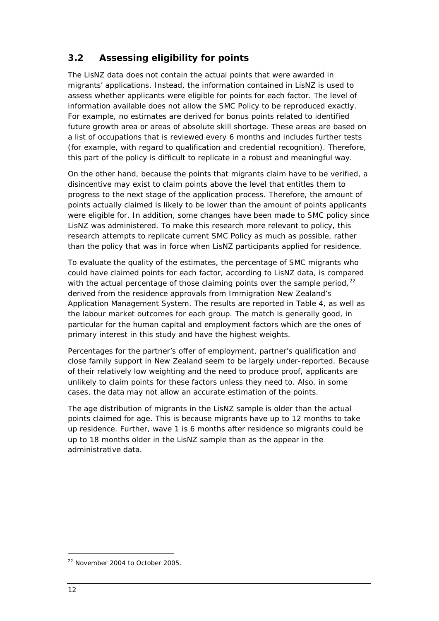# <span id="page-17-0"></span>**3.2 Assessing eligibility for points**

The LisNZ data does not contain the actual points that were awarded in migrants' applications. Instead, the information contained in LisNZ is used to assess whether applicants were eligible for points for each factor. The level of information available does not allow the SMC Policy to be reproduced exactly. For example, no estimates are derived for bonus points related to identified future growth area or areas of absolute skill shortage. These areas are based on a list of occupations that is reviewed every 6 months and includes further tests (for example, with regard to qualification and credential recognition). Therefore, this part of the policy is difficult to replicate in a robust and meaningful way.

On the other hand, because the points that migrants claim have to be verified, a disincentive may exist to claim points above the level that entitles them to progress to the next stage of the application process. Therefore, the amount of points actually claimed is likely to be lower than the amount of points applicants were eligible for. In addition, some changes have been made to SMC policy since LisNZ was administered. To make this research more relevant to policy, this research attempts to replicate current SMC Policy as much as possible, rather than the policy that was in force when LisNZ participants applied for residence.

To evaluate the quality of the estimates, the percentage of SMC migrants who could have claimed points for each factor, according to LisNZ data, is compared with the actual percentage of those claiming points over the sample period,  $^{22}$  $^{22}$  $^{22}$ Application Management System. The results are reported in Table 4, as well as derived from the residence approvals from Immigration New Zealand's the labour market outcomes for each group. The match is generally good, in particular for the human capital and employment factors which are the ones of primary interest in this study and have the highest weights.

Percentages for the partner's offer of employment, partner's qualification and close family support in New Zealand seem to be largely under-reported. Because of their relatively low weighting and the need to produce proof, applicants are unlikely to claim points for these factors unless they need to. Also, in some cases, the data may not allow an accurate estimation of the points.

The age distribution of migrants in the LisNZ sample is older than the actual points claimed for age. This is because migrants have up to 12 months to take up residence. Further, wave 1 is 6 months after residence so migrants could be up to 18 months older in the LisNZ sample than as the appear in the administrative data.

<span id="page-17-1"></span><sup>22</sup> November 2004 to October 2005.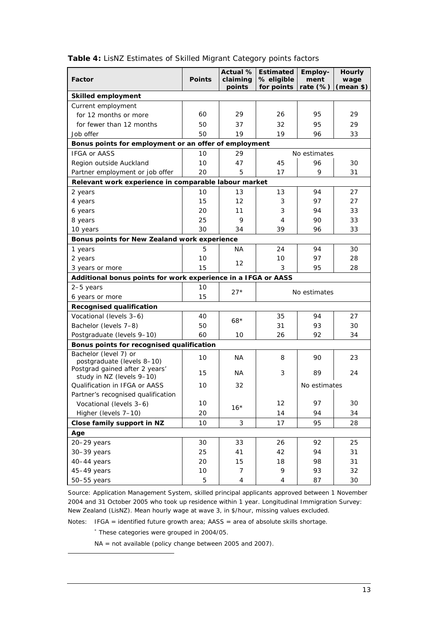<span id="page-18-0"></span>

| Table 4: LisNZ Estimates of Skilled Migrant Category points factors |  |  |  |  |  |  |  |
|---------------------------------------------------------------------|--|--|--|--|--|--|--|
|---------------------------------------------------------------------|--|--|--|--|--|--|--|

| Factor                                                        | <b>Points</b> | Actual %<br>claiming<br>points | Employ-<br><b>Estimated</b><br>% eligible<br>ment<br>for points<br>rate (%) |              | <b>Hourly</b><br>wage<br>(mean \$) |
|---------------------------------------------------------------|---------------|--------------------------------|-----------------------------------------------------------------------------|--------------|------------------------------------|
| <b>Skilled employment</b>                                     |               |                                |                                                                             |              |                                    |
| Current employment                                            |               |                                |                                                                             |              |                                    |
| for 12 months or more                                         | 60            | 29                             | 26                                                                          | 95           | 29                                 |
| for fewer than 12 months                                      | 50            | 37                             | 32                                                                          | 95           | 29                                 |
| Job offer                                                     | 50            | 19                             | 19                                                                          | 96           | 33                                 |
| Bonus points for employment or an offer of employment         |               |                                |                                                                             |              |                                    |
| <b>IFGA or AASS</b>                                           | 10            | 29                             |                                                                             | No estimates |                                    |
| Region outside Auckland                                       | 10            | 47                             | 45                                                                          | 96           | 30                                 |
| Partner employment or job offer                               | 20            | 5                              | 17                                                                          | 9            | 31                                 |
| Relevant work experience in comparable labour market          |               |                                |                                                                             |              |                                    |
| 2 years                                                       | 10            | 13                             | 13                                                                          | 94           | 27                                 |
| 4 years                                                       | 15            | 12                             | 3                                                                           | 97           | 27                                 |
| 6 years                                                       | 20            | 11                             | 3                                                                           | 94           | 33                                 |
| 8 years                                                       | 25            | 9                              | 4                                                                           | 90           | 33                                 |
| 10 years                                                      | 30            | 34                             | 39                                                                          | 96           | 33                                 |
| Bonus points for New Zealand work experience                  |               |                                |                                                                             |              |                                    |
| 1 years                                                       | 5             | ΝA                             | 24                                                                          | 94           | 30                                 |
| 2 years                                                       | 10            | 12                             | 10                                                                          | 97           | 28                                 |
| 3 years or more                                               | 15            |                                | 95<br>3                                                                     |              | 28                                 |
| Additional bonus points for work experience in a IFGA or AASS |               |                                |                                                                             |              |                                    |
| 2-5 years                                                     | 10            | $27*$                          | No estimates                                                                |              |                                    |
| 6 years or more                                               | 15            |                                |                                                                             |              |                                    |
| <b>Recognised qualification</b>                               |               |                                |                                                                             |              |                                    |
| Vocational (levels 3-6)                                       | 40            | $68*$                          | 35                                                                          | 94           | 27                                 |
| Bachelor (levels 7-8)                                         | 50            |                                | 31                                                                          | 93           | 30                                 |
| Postgraduate (levels 9-10)                                    | 60            | 10                             | 26                                                                          | 92           | 34                                 |
| Bonus points for recognised qualification                     |               |                                |                                                                             |              |                                    |
| Bachelor (level 7) or<br>postgraduate (levels 8-10)           | 10            | ΝA                             | 8                                                                           | 90           | 23                                 |
| Postgrad gained after 2 years'<br>study in NZ (levels 9-10)   | 15            | ΝA                             | 3                                                                           | 89           | 24                                 |
| Qualification in IFGA or AASS                                 | 10            | 32                             |                                                                             | No estimates |                                    |
| Partner's recognised qualification                            |               |                                |                                                                             |              |                                    |
| Vocational (levels 3-6)                                       | 10            | $16*$                          | 12                                                                          | 97           | 30                                 |
| Higher (levels 7-10)                                          | 20            |                                | 14                                                                          | 94           | 34                                 |
| Close family support in NZ                                    | 10            | 3                              | 17                                                                          | 95           | 28                                 |
| Age                                                           |               |                                |                                                                             |              |                                    |
| 20-29 years                                                   | 30            | 33                             | 26                                                                          | 92           | 25                                 |
| 30-39 years                                                   | 25            | 41                             | 42                                                                          | 94           | 31                                 |
| 40-44 years                                                   | 20            | 15                             | 18                                                                          | 98           | 31                                 |
| 45-49 years                                                   | 10            | 7                              | 9                                                                           | 93           | 32                                 |
| 50-55 years                                                   | 5             | $\overline{4}$                 | $\overline{4}$                                                              | 87           | 30                                 |

Source: Application Management System, skilled principal applicants approved between 1 November 2004 and 31 October 2005 who took up residence within 1 year. Longitudinal Immigration Survey: New Zealand (LisNZ). Mean hourly wage at wave 3, in \$/hour, missing values excluded.

Notes: IFGA = identified future growth area; AASS = area of absolute skills shortage.

\* These categories were grouped in 2004/05.

<span id="page-18-1"></span> $\overline{a}$ 

NA = not available (policy change between 2005 and 2007).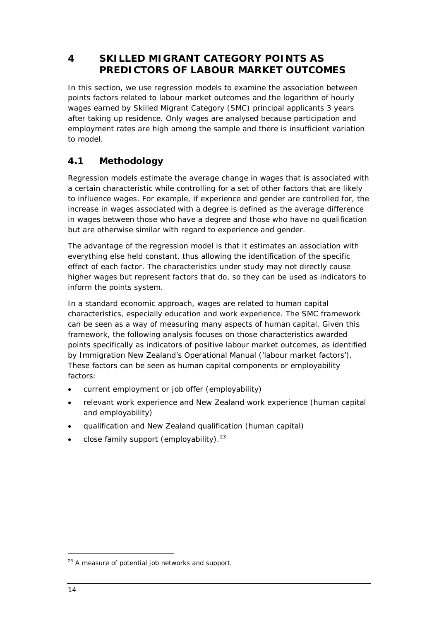# <span id="page-19-0"></span>**4 SKILLED MIGRANT CATEGORY POINTS AS PREDICTORS OF LABOUR MARKET OUTCOMES**

In this section, we use regression models to examine the association between points factors related to labour market outcomes and the logarithm of hourly wages earned by Skilled Migrant Category (SMC) principal applicants 3 years after taking up residence. Only wages are analysed because participation and employment rates are high among the sample and there is insufficient variation to model.

# <span id="page-19-1"></span>**4.1 Methodology**

Regression models estimate the average change in wages that is associated with a certain characteristic while controlling for a set of other factors that are likely to influence wages. For example, if experience and gender are controlled for, the increase in wages associated with a degree is defined as the average difference in wages between those who have a degree and those who have no qualification but are otherwise similar with regard to experience and gender.

The advantage of the regression model is that it estimates an association with everything else held constant, thus allowing the identification of the specific effect of each factor. The characteristics under study may not directly cause higher wages but represent factors that do, so they can be used as indicators to inform the points system.

In a standard economic approach, wages are related to human capital characteristics, especially education and work experience. The SMC framework can be seen as a way of measuring many aspects of human capital. Given this framework, the following analysis focuses on those characteristics awarded points specifically as indicators of positive labour market outcomes, as identified by Immigration New Zealand's *Operational Manual* ('labour market factors'). These factors can be seen as human capital components or employability factors:

- current employment or job offer (employability)
- relevant work experience and New Zealand work experience (human capital and employability)
- qualification and New Zealand qualification (human capital)
- $\bullet$  close family support (employability).<sup>[23](#page-19-2)</sup>

<span id="page-19-2"></span> $23$  A measure of potential job networks and support.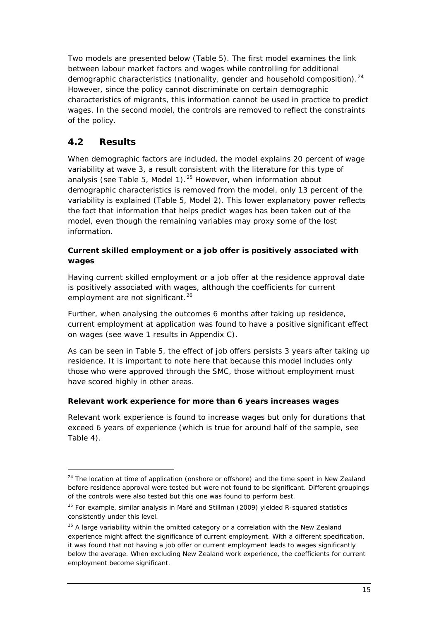Two models are presented below [\(Table 5\)](#page-22-0). The first model examines the link between labour market factors and wages while controlling for additional demographic characteristics (nationality, gender and household composition).<sup>[24](#page-20-1)</sup> However, since the policy cannot discriminate on certain demographic characteristics of migrants, this information cannot be used in practice to predict wages. In the second model, the controls are removed to reflect the constraints of the policy.

# <span id="page-20-0"></span>**4.2 Results**

 $\overline{a}$ 

When demographic factors are included, the model explains 20 percent of wage variability at wave 3, a result consistent with the literature for this type of analysis (see [Table 5,](#page-22-0) Model 1).<sup>[25](#page-20-2)</sup> However, when information about variability is explained ([Table 5](#page-22-0), Model 2). This lower explanatory power reflects demographic characteristics is removed from the model, only 13 percent of the the fact that information that helps predict wages has been taken out of the model, even though the remaining variables may proxy some of the lost information.

### *Current skilled employment or a job offer is positively associated with wages*

Having current skilled employment or a job offer at the residence approval date is positively associated with wages, although the coefficients for current employment are not significant.<sup>[26](#page-20-3)</sup>

Further, when analysing the outcomes 6 months after taking up residence, current employment at application was found to have a positive significant effect on wages (see wave 1 results in Appendix C).

As can be seen in [Table 5,](#page-22-0) the effect of job offers persists 3 years after taking up residence. It is important to note here that because this model includes only those who were approved through the SMC, those without employment must have scored highly in other areas.

### *Relevant work experience for more than 6 years increases wages*

Relevant work experience is found to increase wages but only for durations that exceed 6 years of experience (which is true for around half of the sample, see [Table 4\)](#page-18-0).

<span id="page-20-1"></span> $24$  The location at time of application (onshore or offshore) and the time spent in New Zealand before residence approval were tested but were not found to be significant. Different groupings of the controls were also tested but this one was found to perform best.

<span id="page-20-2"></span> $25$  For example, similar analysis in Maré and Stillman (2009) yielded R-squared statistics consistently under this level.

<span id="page-20-3"></span> $26$  A large variability within the omitted category or a correlation with the New Zealand experience might affect the significance of current employment. With a different specification, it was found that not having a job offer or current employment leads to wages significantly below the average. When excluding New Zealand work experience, the coefficients for current employment become significant.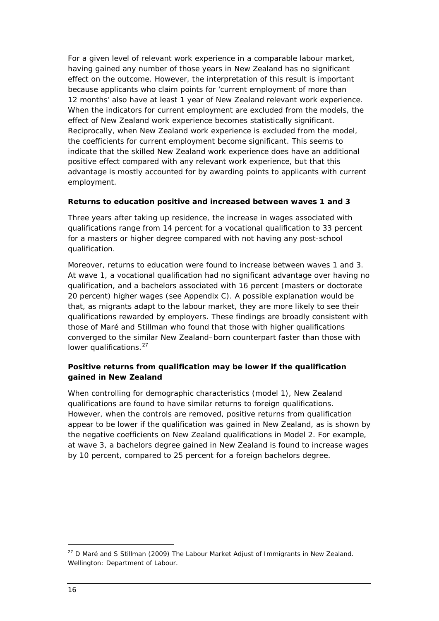For a given level of relevant work experience in a comparable labour market, having gained any number of those years in New Zealand has no significant effect on the outcome. However, the interpretation of this result is important because applicants who claim points for 'current employment of more than 12 months' also have at least 1 year of New Zealand relevant work experience. When the indicators for current employment are excluded from the models, the effect of New Zealand work experience becomes statistically significant. Reciprocally, when New Zealand work experience is excluded from the model, the coefficients for current employment become significant. This seems to indicate that the skilled New Zealand work experience does have an additional positive effect compared with any relevant work experience, but that this advantage is mostly accounted for by awarding points to applicants with current employment.

#### *Returns to education positive and increased between waves 1 and 3*

Three years after taking up residence, the increase in wages associated with qualifications range from 14 percent for a vocational qualification to 33 percent for a masters or higher degree compared with not having any post-school qualification.

Moreover, returns to education were found to increase between waves 1 and 3. At wave 1, a vocational qualification had no significant advantage over having no qualification, and a bachelors associated with 16 percent (masters or doctorate 20 percent) higher wages (see Appendix C). A possible explanation would be that, as migrants adapt to the labour market, they are more likely to see their qualifications rewarded by employers. These findings are broadly consistent with those of Maré and Stillman who found that those with higher qualifications converged to the similar New Zealand–born counterpart faster than those with lower qualifications.<sup>[27](#page-21-0)</sup>

### *Positive returns from qualification may be lower if the qualification gained in New Zealand*

When controlling for demographic characteristics (model 1), New Zealand qualifications are found to have similar returns to foreign qualifications. However, when the controls are removed, positive returns from qualification appear to be lower if the qualification was gained in New Zealand, as is shown by the negative coefficients on New Zealand qualifications in Model 2. For example, at wave 3, a bachelors degree gained in New Zealand is found to increase wages by 10 percent, compared to 25 percent for a foreign bachelors degree.

<span id="page-21-0"></span><sup>27</sup> D Maré and S Stillman (2009) *The Labour Market Adjust of Immigrants in New Zealand*. Wellington: Department of Labour.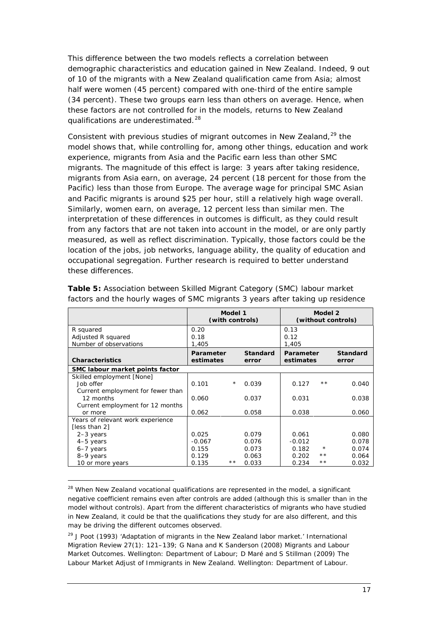This difference between the two models reflects a correlation between demographic characteristics and education gained in New Zealand. Indeed, 9 out of 10 of the migrants with a New Zealand qualification came from Asia; almost half were women (45 percent) compared with one-third of the entire sample (34 percent). These two groups earn less than others on average. Hence, when these factors are not controlled for in the models, returns to New Zealand qualifications are underestimated.<sup>[28](#page-22-1)</sup>

Consistent with previous studies of migrant outcomes in New Zealand,<sup>[29](#page-22-2)</sup> the model shows that, while controlling for, among other things, education and work experience, migrants from Asia and the Pacific earn less than other SMC migrants. The magnitude of this effect is large: 3 years after taking residence, migrants from Asia earn, on average, 24 percent (18 percent for those from the Pacific) less than those from Europe. The average wage for principal SMC Asian and Pacific migrants is around \$25 per hour, still a relatively high wage overall. Similarly, women earn, on average, 12 percent less than similar men. The interpretation of these differences in outcomes is difficult, as they could result from any factors that are not taken into account in the model, or are only partly measured, as well as reflect discrimination. Typically, those factors could be the location of the jobs, job networks, language ability, the quality of education and occupational segregation. Further research is required to better understand these differences.

|                                   | Model 1<br>(with controls) |            |                          | Model 2<br>(without controls) |         |                          |
|-----------------------------------|----------------------------|------------|--------------------------|-------------------------------|---------|--------------------------|
| R squared                         | 0.20                       |            |                          | 0.13                          |         |                          |
| Adjusted R squared                | 0.18                       |            |                          | 0.12                          |         |                          |
| Number of observations            | 1,405                      |            |                          | 1,405                         |         |                          |
| <b>Characteristics</b>            | Parameter<br>estimates     |            | <b>Standard</b><br>error | <b>Parameter</b><br>estimates |         | <b>Standard</b><br>error |
| SMC labour market points factor   |                            |            |                          |                               |         |                          |
| Skilled employment [None]         |                            |            |                          |                               |         |                          |
| Job offer                         | 0.101                      | $^{\star}$ | 0.039                    | 0.127                         | **      | 0.040                    |
| Current employment for fewer than |                            |            |                          |                               |         |                          |
| 12 months                         | 0.060                      |            | 0.037                    | 0.031                         |         | 0.038                    |
| Current employment for 12 months  |                            |            |                          |                               |         |                          |
| or more                           | 0.062                      |            | 0.058                    | 0.038                         |         | 0.060                    |
| Years of relevant work experience |                            |            |                          |                               |         |                          |
| [less than 2]                     |                            |            |                          |                               |         |                          |
| $2-3$ years                       | 0.025                      |            | 0.079                    | 0.061                         |         | 0.080                    |
| 4-5 years                         | $-0.067$                   |            | 0.076                    | $-0.012$                      |         | 0.078                    |
| 6-7 years                         | 0.155                      |            | 0.073                    | 0.182                         | $\star$ | 0.074                    |
| 8-9 years                         | 0.129                      |            | 0.063                    | 0.202                         | $* *$   | 0.064                    |
| 10 or more years                  | 0.135                      | **         | 0.033                    | 0.234                         | **      | 0.032                    |

<span id="page-22-0"></span>**Table 5:** Association between Skilled Migrant Category (SMC) labour market factors and the hourly wages of SMC migrants 3 years after taking up residence

<span id="page-22-1"></span><sup>&</sup>lt;sup>28</sup> When New Zealand vocational qualifications are represented in the model, a significant negative coefficient remains even after controls are added (although this is smaller than in the model without controls). Apart from the different characteristics of migrants who have studied in New Zealand, it could be that the qualifications they study for are also different, and this may be driving the different outcomes observed.

<span id="page-22-2"></span><sup>29</sup> J Poot (1993) 'Adaptation of migrants in the New Zealand labor market.' *International Migration Review* 27(1): 121–139; G Nana and K Sanderson (2008) *Migrants and Labour Market Outcomes*. Wellington: Department of Labour; D Maré and S Stillman (2009) *The Labour Market Adjust of Immigrants in New Zealand*. Wellington: Department of Labour.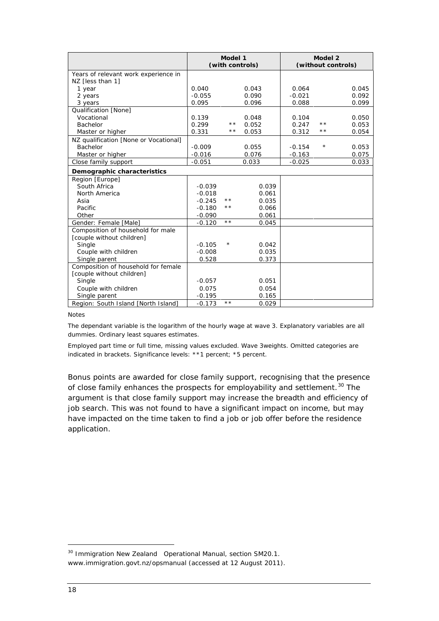|                                       | Model 1<br>(with controls) |              |       |          | Model 2<br>(without controls) |       |
|---------------------------------------|----------------------------|--------------|-------|----------|-------------------------------|-------|
| Years of relevant work experience in  |                            |              |       |          |                               |       |
| NZ [less than 1]                      |                            |              |       |          |                               |       |
| 1 year                                | 0.040                      |              | 0.043 | 0.064    |                               | 0.045 |
| 2 years                               | $-0.055$                   |              | 0.090 | $-0.021$ |                               | 0.092 |
| 3 years                               | 0.095                      |              | 0.096 | 0.088    |                               | 0.099 |
| Qualification [None]                  |                            |              |       |          |                               |       |
| Vocational                            | 0.139                      |              | 0.048 | 0.104    |                               | 0.050 |
| Bachelor                              | 0.299                      | * *          | 0.052 | 0.247    | * *                           | 0.053 |
| Master or higher                      | 0.331                      | $\star\star$ | 0.053 | 0.312    | * *                           | 0.054 |
| NZ qualification [None or Vocational] |                            |              |       |          |                               |       |
| Bachelor                              | $-0.009$                   |              | 0.055 | $-0.154$ | $\star$                       | 0.053 |
| Master or higher                      | $-0.016$                   |              | 0.076 | $-0.163$ |                               | 0.075 |
| Close family support                  | $-0.051$                   |              | 0.033 | $-0.025$ |                               | 0.033 |
| Demographic characteristics           |                            |              |       |          |                               |       |
| Region [Europe]                       |                            |              |       |          |                               |       |
| South Africa                          | $-0.039$                   |              | 0.039 |          |                               |       |
| North America                         | $-0.018$                   |              | 0.061 |          |                               |       |
| Asia                                  | $-0.245$                   | * *          | 0.035 |          |                               |       |
| Pacific                               | $-0.180$                   | * *          | 0.066 |          |                               |       |
| Other                                 | $-0.090$                   |              | 0.061 |          |                               |       |
| Gender: Female [Male]                 | $-0.120$                   | $\star\star$ | 0.045 |          |                               |       |
| Composition of household for male     |                            |              |       |          |                               |       |
| [couple without children]             |                            |              |       |          |                               |       |
| Single                                | $-0.105$                   | $^\star$     | 0.042 |          |                               |       |
| Couple with children                  | $-0.008$                   |              | 0.035 |          |                               |       |
| Single parent                         | 0.528                      |              | 0.373 |          |                               |       |
| Composition of household for female   |                            |              |       |          |                               |       |
| [couple without children]             |                            |              |       |          |                               |       |
| Single                                | $-0.057$                   |              | 0.051 |          |                               |       |
| Couple with children                  | 0.075                      |              | 0.054 |          |                               |       |
| Single parent                         | $-0.195$                   |              | 0.165 |          |                               |       |
| Region: South Island [North Island]   | $-0.173$                   | $\star\star$ | 0.029 |          |                               |       |

#### Notes

The dependant variable is the logarithm of the hourly wage at wave 3. Explanatory variables are all dummies. Ordinary least squares estimates.

Employed part time or full time, missing values excluded. Wave 3weights. Omitted categories are indicated in brackets. Significance levels: \*\*1 percent; \*5 percent.

Bonus points are awarded for close family support, recognising that the presence of close family enhances the prospects for employability and settlement.<sup>[30](#page-23-0)</sup> The argument is that close family support may increase the breadth and efficiency of job search. This was not found to have a significant impact on income, but may have impacted on the time taken to find a job or job offer before the residence application.

<span id="page-23-0"></span><sup>30</sup> Immigration New Zealand *Operational Manual,* section SM20.1. www.immigration.govt.nz/opsmanual (accessed at 12 August 2011)*.*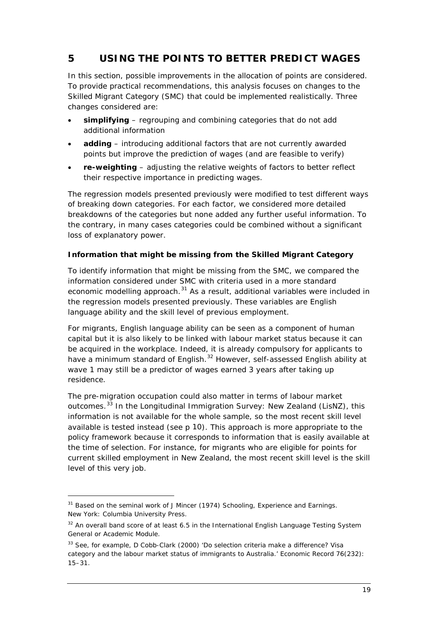# <span id="page-24-0"></span>**5 USING THE POINTS TO BETTER PREDICT WAGES**

In this section, possible improvements in the allocation of points are considered. To provide practical recommendations, this analysis focuses on changes to the Skilled Migrant Category (SMC) that could be implemented realistically. Three changes considered are:

- **simplifying** regrouping and combining categories that do not add additional information
- adding introducing additional factors that are not currently awarded points but improve the prediction of wages (and are feasible to verify)
- **re-weighting** adjusting the relative weights of factors to better reflect their respective importance in predicting wages.

The regression models presented previously were modified to test different ways of breaking down categories. For each factor, we considered more detailed breakdowns of the categories but none added any further useful information. To the contrary, in many cases categories could be combined without a significant loss of explanatory power.

### *Information that might be missing from the Skilled Migrant Category*

To identify information that might be missing from the SMC, we compared the information considered under SMC with criteria used in a more standard economic modelling approach.<sup>[31](#page-24-1)</sup> As a result, additional variables were included in the regression models presented previously. These variables are English language ability and the skill level of previous employment.

For migrants, English language ability can be seen as a component of human capital but it is also likely to be linked with labour market status because it can be acquired in the workplace. Indeed, it is already compulsory for applicants to have a minimum standard of English.<sup>[32](#page-24-2)</sup> However, self-assessed English ability at wave 1 may still be a predictor of wages earned 3 years after taking up residence.

The pre-migration occupation could also matter in terms of labour market outcomes.<sup>[33](#page-24-3)</sup> In the Longitudinal Immigration Survey: New Zealand (LisNZ), this available is tested instead (see p [10](#page-15-5)). This approach is more appropriate to the information is not available for the whole sample, so the most recent skill level policy framework because it corresponds to information that is easily available at the time of selection. For instance, for migrants who are eligible for points for current skilled employment in New Zealand, the most recent skill level is the skill level of this very job.

<span id="page-24-1"></span><sup>31</sup> Based on the seminal work of J Mincer (1974) *Schooling, Experience and Earnings*. New York: Columbia University Press.

<span id="page-24-2"></span><sup>&</sup>lt;sup>32</sup> An overall band score of at least 6.5 in the International English Language Testing System General or Academic Module.

<span id="page-24-3"></span><sup>&</sup>lt;sup>33</sup> See, for example, D Cobb-Clark (2000) 'Do selection criteria make a difference? Visa category and the labour market status of immigrants to Australia.' *Economic Record* 76(232): 15–31.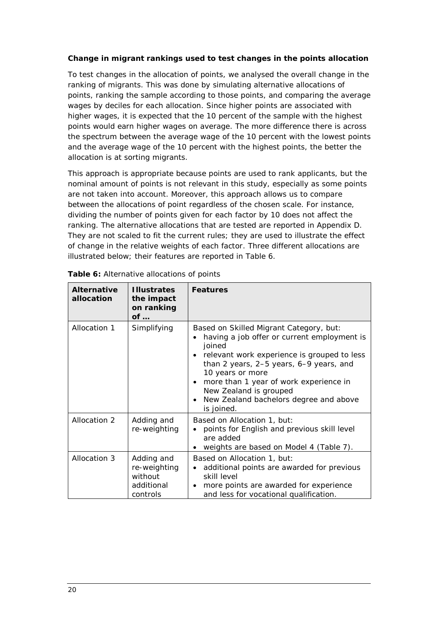### *Change in migrant rankings used to test changes in the points allocation*

To test changes in the allocation of points, we analysed the overall change in the ranking of migrants. This was done by simulating alternative allocations of points, ranking the sample according to those points, and comparing the average wages by deciles for each allocation. Since higher points are associated with higher wages, it is expected that the 10 percent of the sample with the highest points would earn higher wages on average. The more difference there is across the spectrum between the average wage of the 10 percent with the lowest points and the average wage of the 10 percent with the highest points, the better the allocation is at sorting migrants.

This approach is appropriate because points are used to rank applicants, but the nominal amount of points is not relevant in this study, especially as some points are not taken into account. Moreover, this approach allows us to compare between the allocations of point regardless of the chosen scale. For instance, dividing the number of points given for each factor by 10 does not affect the ranking. The alternative allocations that are tested are reported in Appendix D. They are not scaled to fit the current rules; they are used to illustrate the effect of change in the relative weights of each factor. Three different allocations are illustrated below; their features are reported in [Table 6.](#page-25-0)

| <b>Alternative</b><br>allocation | <b>Illustrates</b><br>the impact<br>on ranking<br>of            | <b>Features</b>                                                                                                                                                                                                                                                                                                                                                      |
|----------------------------------|-----------------------------------------------------------------|----------------------------------------------------------------------------------------------------------------------------------------------------------------------------------------------------------------------------------------------------------------------------------------------------------------------------------------------------------------------|
| Allocation 1                     | Simplifying                                                     | Based on Skilled Migrant Category, but:<br>having a job offer or current employment is<br>joined<br>relevant work experience is grouped to less<br>than 2 years, 2–5 years, 6–9 years, and<br>10 years or more<br>more than 1 year of work experience in<br>$\bullet$<br>New Zealand is grouped<br>New Zealand bachelors degree and above<br>$\bullet$<br>is joined. |
| Allocation 2                     | Adding and<br>re-weighting                                      | Based on Allocation 1, but:<br>points for English and previous skill level<br>are added<br>weights are based on Model 4 (Table 7).                                                                                                                                                                                                                                   |
| Allocation 3                     | Adding and<br>re-weighting<br>without<br>additional<br>controls | Based on Allocation 1, but:<br>additional points are awarded for previous<br>skill level<br>more points are awarded for experience<br>$\bullet$<br>and less for vocational qualification.                                                                                                                                                                            |

<span id="page-25-0"></span>

| Table 6: Alternative allocations of points |  |  |
|--------------------------------------------|--|--|
|                                            |  |  |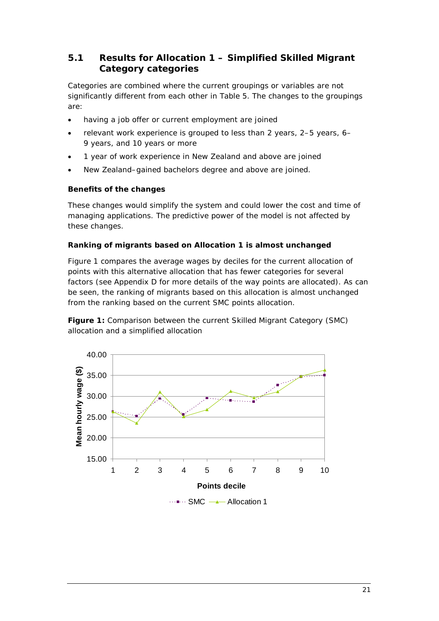### <span id="page-26-0"></span>**5.1 Results for Allocation 1 – Simplified Skilled Migrant Category categories**

Categories are combined where the current groupings or variables are not significantly different from each other in [Table 5.](#page-22-0) The changes to the groupings are:

- having a job offer or current employment are joined
- relevant work experience is grouped to less than 2 years, 2–5 years, 6– 9 years, and 10 years or more
- 1 year of work experience in New Zealand and above are joined
- New Zealand–gained bachelors degree and above are joined.

### *Benefits of the changes*

These changes would simplify the system and could lower the cost and time of managing applications. The predictive power of the model is not affected by these changes.

### *Ranking of migrants based on Allocation 1 is almost unchanged*

[Figure 1](#page-26-1) compares the average wages by deciles for the current allocation of points with this alternative allocation that has fewer categories for several factors (see Appendix D for more details of the way points are allocated). As can be seen, the ranking of migrants based on this allocation is almost unchanged from the ranking based on the current SMC points allocation.

<span id="page-26-1"></span>**Figure 1:** Comparison between the current Skilled Migrant Category (SMC) allocation and a simplified allocation

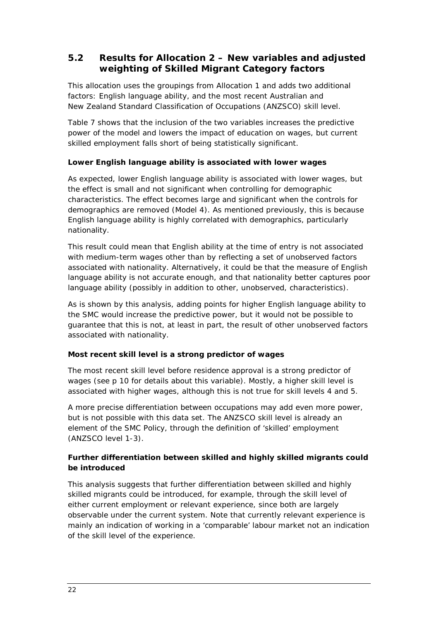### <span id="page-27-0"></span>**5.2 Results for Allocation 2 – New variables and adjusted weighting of Skilled Migrant Category factors**

This allocation uses the groupings from Allocation 1 and adds two additional factors: English language ability, and the most recent Australian and New Zealand Standard Classification of Occupations (ANZSCO) skill level.

[Table 7](#page-28-0) shows that the inclusion of the two variables increases the predictive power of the model and lowers the impact of education on wages, but current skilled employment falls short of being statistically significant.

### *Lower English language ability is associated with lower wages*

As expected, lower English language ability is associated with lower wages, but the effect is small and not significant when controlling for demographic characteristics. The effect becomes large and significant when the controls for demographics are removed (Model 4). As mentioned previously, this is because English language ability is highly correlated with demographics, particularly nationality.

This result could mean that English ability at the time of entry is not associated with medium-term wages other than by reflecting a set of unobserved factors associated with nationality. Alternatively, it could be that the measure of English language ability is not accurate enough, and that nationality better captures poor language ability (possibly in addition to other, unobserved, characteristics).

As is shown by this analysis, adding points for higher English language ability to the SMC would increase the predictive power, but it would not be possible to guarantee that this is not, at least in part, the result of other unobserved factors associated with nationality.

### *Most recent skill level is a strong predictor of wages*

The most recent skill level before residence approval is a strong predictor of wages (see p [10](#page-15-5) for details about this variable). Mostly, a higher skill level is associated with higher wages, although this is not true for skill levels 4 and 5.

A more precise differentiation between occupations may add even more power, but is not possible with this data set. The ANZSCO skill level is already an element of the SMC Policy, through the definition of 'skilled' employment (ANZSCO level 1-3).

### *Further differentiation between skilled and highly skilled migrants could be introduced*

This analysis suggests that further differentiation between skilled and highly skilled migrants could be introduced, for example, through the skill level of either current employment or relevant experience, since both are largely observable under the current system. Note that currently relevant experience is mainly an indication of working in a 'comparable' labour market not an indication of the skill level of the experience.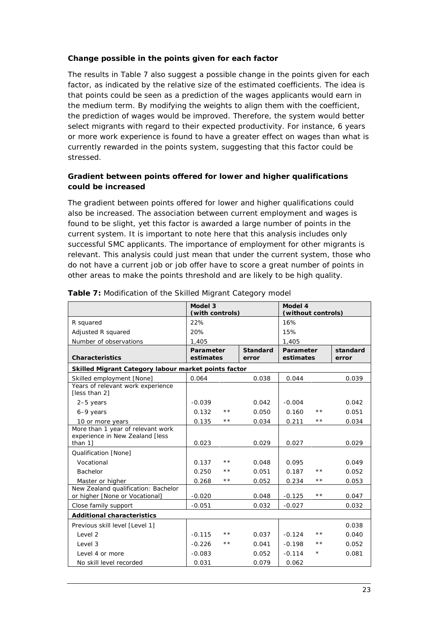### *Change possible in the points given for each factor*

The results in [Table 7](#page-28-0) also suggest a possible change in the points given for each factor, as indicated by the relative size of the estimated coefficients. The idea is that points could be seen as a prediction of the wages applicants would earn in the medium term. By modifying the weights to align them with the coefficient, the prediction of wages would be improved. Therefore, the system would better select migrants with regard to their expected productivity. For instance, 6 years or more work experience is found to have a greater effect on wages than what is currently rewarded in the points system, suggesting that this factor could be stressed.

### *Gradient between points offered for lower and higher qualifications could be increased*

The gradient between points offered for lower and higher qualifications could also be increased. The association between current employment and wages is found to be slight, yet this factor is awarded a large number of points in the current system. It is important to note here that this analysis includes only successful SMC applicants. The importance of employment for other migrants is relevant. This analysis could just mean that under the current system, those who do not have a current job or job offer have to score a great number of points in other areas to make the points threshold and are likely to be high quality.

|                                                                       | Model 3<br>(with controls) |              |                          | Model 4<br>(without controls) |       |                   |
|-----------------------------------------------------------------------|----------------------------|--------------|--------------------------|-------------------------------|-------|-------------------|
| R squared                                                             | 22%                        |              |                          | 16%                           |       |                   |
| Adjusted R squared                                                    | 20%                        |              |                          | 15%                           |       |                   |
| Number of observations                                                | 1,405                      |              |                          | 1,405                         |       |                   |
| <b>Characteristics</b>                                                | Parameter<br>estimates     |              | <b>Standard</b><br>error | Parameter<br>estimates        |       | standard<br>error |
| Skilled Migrant Category labour market points factor                  |                            |              |                          |                               |       |                   |
| Skilled employment [None]                                             | 0.064                      |              | 0.038                    | 0.044                         |       | 0.039             |
| Years of relevant work experience<br>[less than 2]                    |                            |              |                          |                               |       |                   |
| $2-5$ years                                                           | $-0.039$                   |              | 0.042                    | $-0.004$                      |       | 0.042             |
| 6-9 years                                                             | 0.132                      | $* *$        | 0.050                    | 0.160                         | **    | 0.051             |
| 10 or more years                                                      | 0.135                      | $\star\star$ | 0.034                    | 0.211                         | * *   | 0.034             |
| More than 1 year of relevant work<br>experience in New Zealand [less  |                            |              |                          |                               |       |                   |
| than 11                                                               | 0.023                      |              | 0.029                    | 0.027                         |       | 0.029             |
| Qualification [None]                                                  |                            |              |                          |                               |       |                   |
| Vocational                                                            | 0.137                      | $\star\star$ | 0.048                    | 0.095                         |       | 0.049             |
| Bachelor                                                              | 0.250                      | $* *$        | 0.051                    | 0.187                         | * *   | 0.052             |
| Master or higher                                                      | 0.268                      | **           | 0.052                    | 0.234                         | * *   | 0.053             |
| New Zealand qualification: Bachelor<br>or higher [None or Vocational] | $-0.020$                   |              | 0.048                    | $-0.125$                      | $* *$ | 0.047             |
| Close family support                                                  | $-0.051$                   |              | 0.032                    | $-0.027$                      |       | 0.032             |
| <b>Additional characteristics</b>                                     |                            |              |                          |                               |       |                   |
| Previous skill level [Level 1]                                        |                            |              |                          |                               |       | 0.038             |
| Level 2                                                               | $-0.115$                   | * *          | 0.037                    | $-0.124$                      | * *   | 0.040             |
| Level 3                                                               | $-0.226$                   | $* *$        | 0.041                    | $-0.198$                      | * *   | 0.052             |
| Level 4 or more                                                       | $-0.083$                   |              | 0.052                    | $-0.114$                      | *     | 0.081             |
| No skill level recorded                                               | 0.031                      |              | 0.079                    | 0.062                         |       |                   |

<span id="page-28-0"></span>**Table 7:** Modification of the Skilled Migrant Category model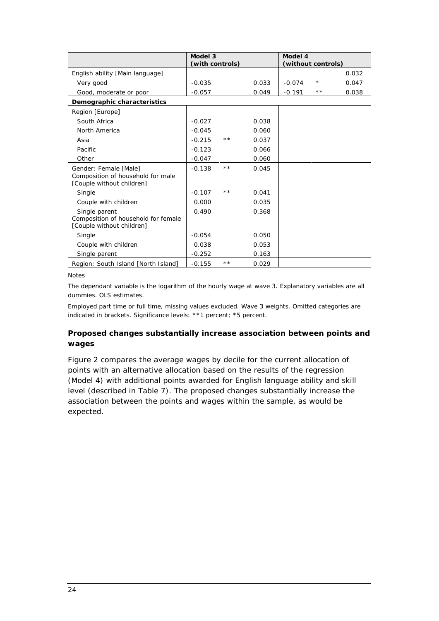|                                                                                   | Model 3<br>(with controls) |     |       | Model 4<br>(without controls) |         |       |
|-----------------------------------------------------------------------------------|----------------------------|-----|-------|-------------------------------|---------|-------|
| English ability [Main language]                                                   |                            |     |       |                               |         | 0.032 |
| Very good                                                                         | $-0.035$                   |     | 0.033 | $-0.074$                      | $\star$ | 0.047 |
| Good, moderate or poor                                                            | $-0.057$                   |     | 0.049 | $-0.191$                      | * *     | 0.038 |
| Demographic characteristics                                                       |                            |     |       |                               |         |       |
| Region [Europe]                                                                   |                            |     |       |                               |         |       |
| South Africa                                                                      | $-0.027$                   |     | 0.038 |                               |         |       |
| North America                                                                     | $-0.045$                   |     | 0.060 |                               |         |       |
| Asia                                                                              | $-0.215$                   | * * | 0.037 |                               |         |       |
| Pacific                                                                           | $-0.123$                   |     | 0.066 |                               |         |       |
| Other                                                                             | $-0.047$                   |     | 0.060 |                               |         |       |
| Gender: Female [Male]                                                             | $-0.138$                   | * * | 0.045 |                               |         |       |
| Composition of household for male<br>[Couple without children]                    |                            |     |       |                               |         |       |
| Single                                                                            | $-0.107$                   | * * | 0.041 |                               |         |       |
| Couple with children                                                              | 0.000                      |     | 0.035 |                               |         |       |
| Single parent<br>Composition of household for female<br>[Couple without children] | 0.490                      |     | 0.368 |                               |         |       |
| Single                                                                            | $-0.054$                   |     | 0.050 |                               |         |       |
| Couple with children                                                              | 0.038                      |     | 0.053 |                               |         |       |
| Single parent                                                                     | $-0.252$                   |     | 0.163 |                               |         |       |
| Region: South Island [North Island]                                               | $-0.155$                   | * * | 0.029 |                               |         |       |

Notes

The dependant variable is the logarithm of the hourly wage at wave 3. Explanatory variables are all dummies. OLS estimates.

Employed part time or full time, missing values excluded. Wave 3 weights. Omitted categories are indicated in brackets. Significance levels: \*\*1 percent; \*5 percent.

### *Proposed changes substantially increase association between points and wages*

[Figure 2](#page-30-1) compares the average wages by decile for the current allocation of points with an alternative allocation based on the results of the regression (Model 4) with additional points awarded for English language ability and skill level (described in [Table 7\)](#page-28-0). The proposed changes substantially increase the association between the points and wages within the sample, as would be expected.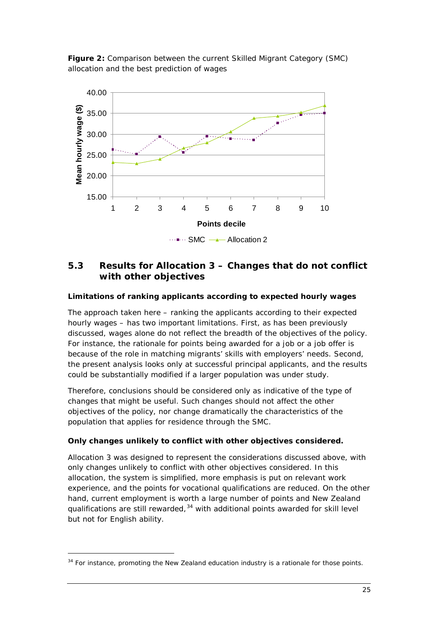<span id="page-30-1"></span>**Figure 2:** Comparison between the current Skilled Migrant Category (SMC) allocation and the best prediction of wages



### <span id="page-30-0"></span>**5.3 Results for Allocation 3 – Changes that do not conflict with other objectives**

### *Limitations of ranking applicants according to expected hourly wages*

The approach taken here – ranking the applicants according to their expected hourly wages – has two important limitations. First, as has been previously discussed, wages alone do not reflect the breadth of the objectives of the policy. For instance, the rationale for points being awarded for a job or a job offer is because of the role in matching migrants' skills with employers' needs. Second, the present analysis looks only at successful principal applicants, and the results could be substantially modified if a larger population was under study.

Therefore, conclusions should be considered only as indicative of the type of changes that might be useful. Such changes should not affect the other objectives of the policy, nor change dramatically the characteristics of the population that applies for residence through the SMC.

### *Only changes unlikely to conflict with other objectives considered.*

Allocation 3 was designed to represent the considerations discussed above, with only changes unlikely to conflict with other objectives considered. In this allocation, the system is simplified, more emphasis is put on relevant work experience, and the points for vocational qualifications are reduced. On the other hand, current employment is worth a large number of points and New Zealand qualifications are still rewarded,<sup>[34](#page-30-2)</sup> with additional points awarded for skill level but not for English ability.

<span id="page-30-2"></span><sup>34</sup> For instance, promoting the New Zealand education industry is a rationale for those points.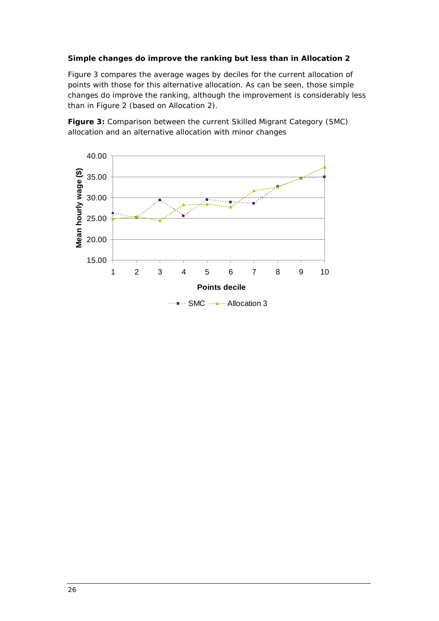### *Simple changes do improve the ranking but less than in Allocation 2*

[Figure 3](#page-31-0) compares the average wages by deciles for the current allocation of points with those for this alternative allocation. As can be seen, those simple changes do improve the ranking, although the improvement is considerably less than in [Figure 2](#page-30-1) (based on Allocation 2).

<span id="page-31-0"></span>**Figure 3:** Comparison between the current Skilled Migrant Category (SMC) allocation and an alternative allocation with minor changes

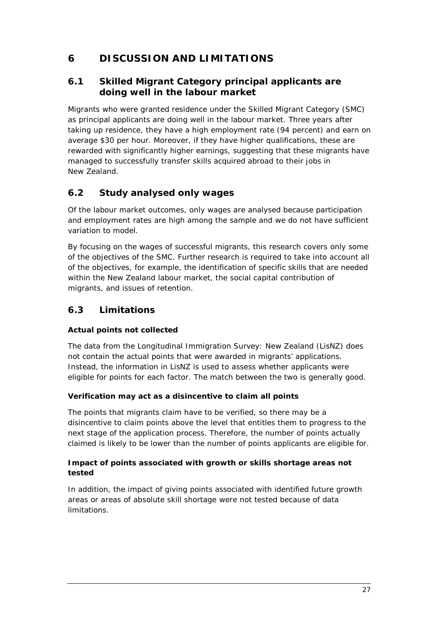# <span id="page-32-0"></span>**6 DISCUSSION AND LIMITATIONS**

### <span id="page-32-1"></span>**6.1 Skilled Migrant Category principal applicants are doing well in the labour market**

Migrants who were granted residence under the Skilled Migrant Category (SMC) as principal applicants are doing well in the labour market. Three years after taking up residence, they have a high employment rate (94 percent) and earn on average \$30 per hour. Moreover, if they have higher qualifications, these are rewarded with significantly higher earnings, suggesting that these migrants have managed to successfully transfer skills acquired abroad to their jobs in New Zealand.

# <span id="page-32-2"></span>**6.2 Study analysed only wages**

Of the labour market outcomes, only wages are analysed because participation and employment rates are high among the sample and we do not have sufficient variation to model.

By focusing on the wages of successful migrants, this research covers only some of the objectives of the SMC. Further research is required to take into account all of the objectives, for example, the identification of specific skills that are needed within the New Zealand labour market, the social capital contribution of migrants, and issues of retention.

# <span id="page-32-3"></span>**6.3 Limitations**

### *Actual points not collected*

The data from the Longitudinal Immigration Survey: New Zealand (LisNZ) does not contain the actual points that were awarded in migrants' applications. Instead, the information in LisNZ is used to assess whether applicants were eligible for points for each factor. The match between the two is generally good.

### *Verification may act as a disincentive to claim all points*

The points that migrants claim have to be verified, so there may be a disincentive to claim points above the level that entitles them to progress to the next stage of the application process. Therefore, the number of points actually claimed is likely to be lower than the number of points applicants are eligible for.

### *Impact of points associated with growth or skills shortage areas not tested*

In addition, the impact of giving points associated with identified future growth areas or areas of absolute skill shortage were not tested because of data limitations.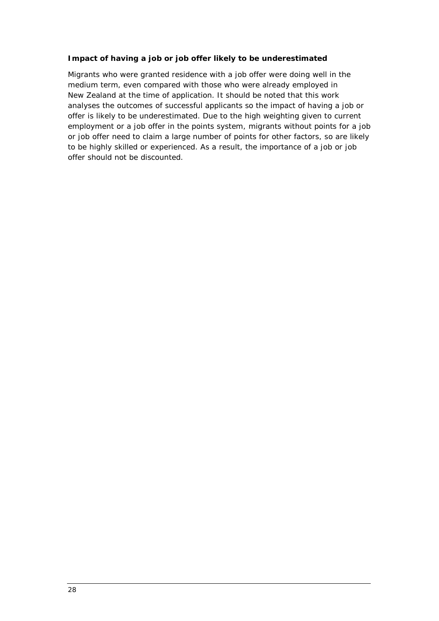### *Impact of having a job or job offer likely to be underestimated*

Migrants who were granted residence with a job offer were doing well in the medium term, even compared with those who were already employed in New Zealand at the time of application. It should be noted that this work analyses the outcomes of successful applicants so the impact of having a job or offer is likely to be underestimated. Due to the high weighting given to current employment or a job offer in the points system, migrants without points for a job or job offer need to claim a large number of points for other factors, so are likely to be highly skilled or experienced. As a result, the importance of a job or job offer should not be discounted.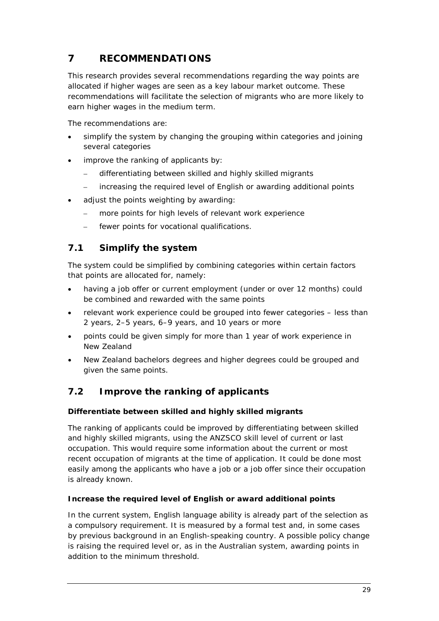# <span id="page-34-0"></span>**7 RECOMMENDATIONS**

This research provides several recommendations regarding the way points are allocated if higher wages are seen as a key labour market outcome. These recommendations will facilitate the selection of migrants who are more likely to earn higher wages in the medium term.

The recommendations are:

- simplify the system by changing the grouping within categories and joining several categories
- improve the ranking of applicants by:
	- differentiating between skilled and highly skilled migrants
	- increasing the required level of English or awarding additional points
- adjust the points weighting by awarding:
	- more points for high levels of relevant work experience
	- fewer points for vocational qualifications.

### <span id="page-34-1"></span>**7.1 Simplify the system**

The system could be simplified by combining categories within certain factors that points are allocated for, namely:

- having a job offer or current employment (under or over 12 months) could be combined and rewarded with the same points
- relevant work experience could be grouped into fewer categories less than 2 years, 2–5 years, 6–9 years, and 10 years or more
- points could be given simply for more than 1 year of work experience in New Zealand
- New Zealand bachelors degrees and higher degrees could be grouped and given the same points.

# <span id="page-34-2"></span>**7.2 Improve the ranking of applicants**

### *Differentiate between skilled and highly skilled migrants*

The ranking of applicants could be improved by differentiating between skilled and highly skilled migrants, using the ANZSCO skill level of current or last occupation. This would require some information about the current or most recent occupation of migrants at the time of application. It could be done most easily among the applicants who have a job or a job offer since their occupation is already known.

### *Increase the required level of English or award additional points*

In the current system, English language ability is already part of the selection as a compulsory requirement. It is measured by a formal test and, in some cases by previous background in an English-speaking country. A possible policy change is raising the required level or, as in the Australian system, awarding points in addition to the minimum threshold.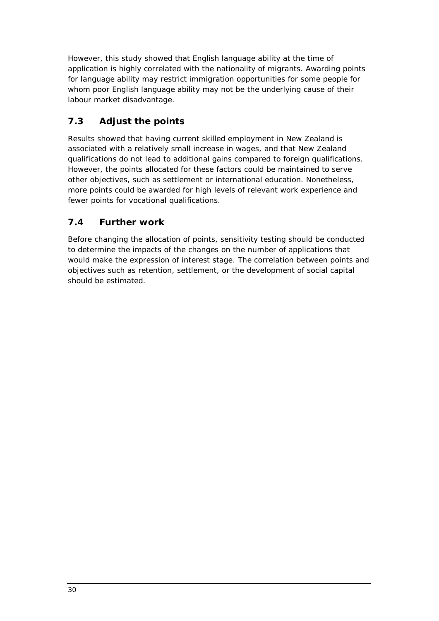However, this study showed that English language ability at the time of application is highly correlated with the nationality of migrants. Awarding points for language ability may restrict immigration opportunities for some people for whom poor English language ability may not be the underlying cause of their labour market disadvantage.

# <span id="page-35-0"></span>**7.3 Adjust the points**

Results showed that having current skilled employment in New Zealand is associated with a relatively small increase in wages, and that New Zealand qualifications do not lead to additional gains compared to foreign qualifications. However, the points allocated for these factors could be maintained to serve other objectives, such as settlement or international education. Nonetheless, more points could be awarded for high levels of relevant work experience and fewer points for vocational qualifications.

# <span id="page-35-1"></span>**7.4 Further work**

Before changing the allocation of points, sensitivity testing should be conducted to determine the impacts of the changes on the number of applications that would make the expression of interest stage. The correlation between points and objectives such as retention, settlement, or the development of social capital should be estimated.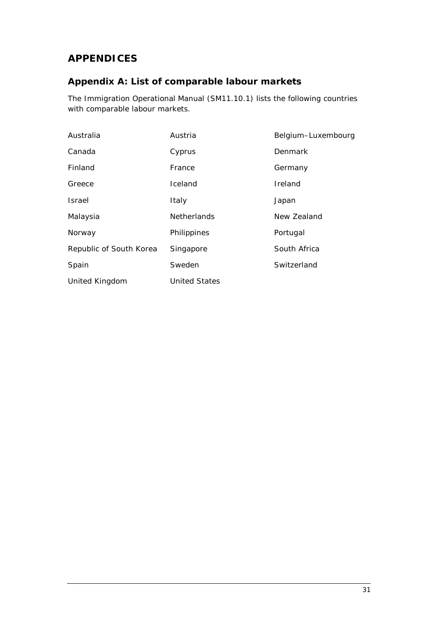# <span id="page-36-0"></span>**APPENDICES**

# <span id="page-36-1"></span>**Appendix A: List of comparable labour markets**

The Immigration Operational Manual (SM11.10.1) lists the following countries with comparable labour markets.

| Australia               | Austria              | Belgium-Luxembourg |
|-------------------------|----------------------|--------------------|
| Canada                  | Cyprus               | <b>Denmark</b>     |
| Finland                 | France               | Germany            |
| Greece                  | Iceland              | Ireland            |
| <b>Israel</b>           | Italy                | Japan              |
| Malaysia                | <b>Netherlands</b>   | New Zealand        |
| Norway                  | Philippines          | Portugal           |
| Republic of South Korea | Singapore            | South Africa       |
| Spain                   | Sweden               | Switzerland        |
| United Kingdom          | <b>United States</b> |                    |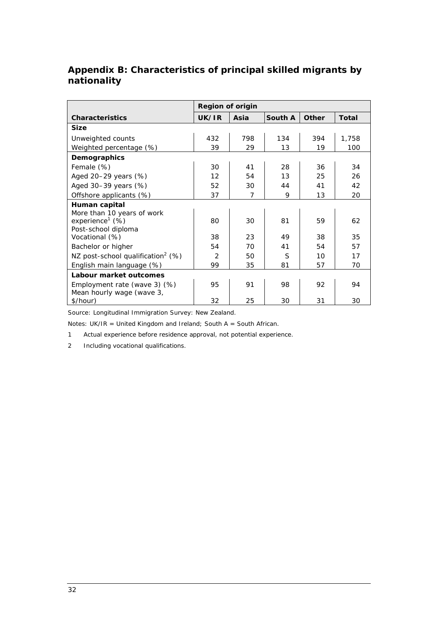# <span id="page-37-0"></span>**Appendix B: Characteristics of principal skilled migrants by nationality**

|                                               | <b>Region of origin</b> |                |         |              |              |  |  |  |
|-----------------------------------------------|-------------------------|----------------|---------|--------------|--------------|--|--|--|
| <b>Characteristics</b>                        | UK/IR                   | Asia           | South A | <b>Other</b> | <b>Total</b> |  |  |  |
| <b>Size</b>                                   |                         |                |         |              |              |  |  |  |
| Unweighted counts                             | 432                     | 798            | 134     | 394          | 1,758        |  |  |  |
| Weighted percentage (%)                       | 39                      | 29             | 13      | 19           | 100          |  |  |  |
| Demographics                                  |                         |                |         |              |              |  |  |  |
| Female (%)                                    | 30                      | 41             | 28      | 36           | 34           |  |  |  |
| Aged 20-29 years (%)                          | 12                      | 54             | 13      | 25           | 26           |  |  |  |
| Aged 30-39 years (%)                          | 52                      | 30             | 44      | 41           | 42           |  |  |  |
| Offshore applicants (%)                       | 37                      | $\overline{7}$ | 9       | 13           | 20           |  |  |  |
| Human capital                                 |                         |                |         |              |              |  |  |  |
| More than 10 years of work                    |                         |                |         |              |              |  |  |  |
| experience <sup>1</sup> (%)                   | 80                      | 30             | 81      | 59           | 62           |  |  |  |
| Post-school diploma                           |                         |                |         |              |              |  |  |  |
| Vocational (%)                                | 38                      | 23             | 49      | 38           | 35           |  |  |  |
| Bachelor or higher                            | 54                      | 70             | 41      | 54           | 57           |  |  |  |
| NZ post-school qualification <sup>2</sup> (%) | $\mathcal{P}$           | 50             | S       | 10           | 17           |  |  |  |
| English main language (%)                     | 99                      | 35             | 81      | 57           | 70           |  |  |  |
| Labour market outcomes                        |                         |                |         |              |              |  |  |  |
| Employment rate (wave 3) (%)                  | 95                      | 91             | 98      | 92           | 94           |  |  |  |
| Mean hourly wage (wave 3,                     |                         |                |         |              |              |  |  |  |
| \$/hour)                                      | 32                      | 25             | 30      | 31           | 30           |  |  |  |

Source: Longitudinal Immigration Survey: New Zealand.

Notes:  $UK/IR = United Kingdom$  and Ireland; South A = South African.

1 Actual experience before residence approval, not potential experience.

2 Including vocational qualifications.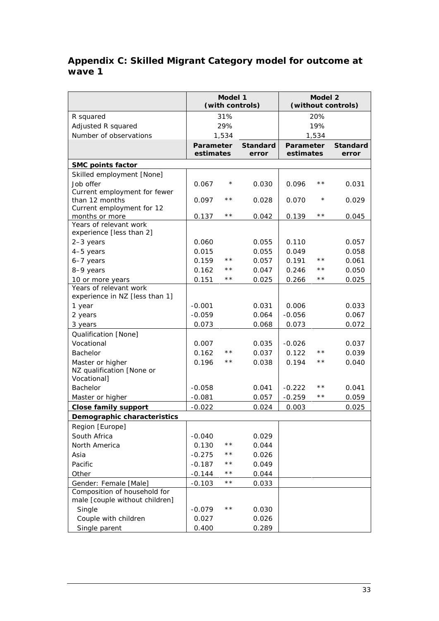### <span id="page-38-0"></span>**Appendix C: Skilled Migrant Category model for outcome at wave 1**

|                                                    | Model 1<br>(with controls)    |              |                          | Model 2<br>(without controls) |              |                          |
|----------------------------------------------------|-------------------------------|--------------|--------------------------|-------------------------------|--------------|--------------------------|
| R squared                                          |                               | 31%          |                          | 20%                           |              |                          |
| Adjusted R squared                                 |                               | 29%          |                          | 19%                           |              |                          |
| Number of observations                             |                               | 1,534        |                          |                               | 1,534        |                          |
|                                                    | <b>Parameter</b><br>estimates |              | <b>Standard</b><br>error | <b>Parameter</b><br>estimates |              | <b>Standard</b><br>error |
| <b>SMC points factor</b>                           |                               |              |                          |                               |              |                          |
| Skilled employment [None]                          |                               |              |                          |                               |              |                          |
| Job offer                                          | 0.067                         | $^\star$     | 0.030                    | 0.096                         | $\star\star$ | 0.031                    |
| Current employment for fewer                       |                               |              |                          |                               |              |                          |
| than 12 months                                     | 0.097                         | $\star\star$ | 0.028                    | 0.070                         | $^\star$     | 0.029                    |
| Current employment for 12                          |                               |              |                          |                               |              |                          |
| months or more                                     | 0.137                         | $\star\star$ | 0.042                    | 0.139                         | $\star\star$ | 0.045                    |
| Years of relevant work<br>experience [less than 2] |                               |              |                          |                               |              |                          |
| 2-3 years                                          | 0.060                         |              | 0.055                    | 0.110                         |              | 0.057                    |
| 4-5 years                                          | 0.015                         |              | 0.055                    | 0.049                         |              | 0.058                    |
| 6-7 years                                          | 0.159                         | $\star\star$ | 0.057                    | 0.191                         | $\star\star$ | 0.061                    |
| 8-9 years                                          | 0.162                         | $\star\star$ | 0.047                    | 0.246                         | * *          | 0.050                    |
| 10 or more years                                   | 0.151                         | $\star\star$ | 0.025                    | 0.266                         | * *          | 0.025                    |
| Years of relevant work                             |                               |              |                          |                               |              |                          |
| experience in NZ [less than 1]                     |                               |              |                          |                               |              |                          |
| 1 year                                             | $-0.001$                      |              | 0.031                    | 0.006                         |              | 0.033                    |
| 2 years                                            | $-0.059$                      |              | 0.064                    | $-0.056$                      |              | 0.067                    |
| 3 years                                            | 0.073                         |              | 0.068                    | 0.073                         |              | 0.072                    |
| Qualification [None]                               |                               |              |                          |                               |              |                          |
| Vocational                                         | 0.007                         |              | 0.035                    | $-0.026$                      |              | 0.037                    |
| <b>Bachelor</b>                                    | 0.162                         | $\star\star$ | 0.037                    | 0.122                         | $\star\star$ | 0.039                    |
| Master or higher                                   | 0.196                         | $\star\star$ | 0.038                    | 0.194                         | $\star\star$ | 0.040                    |
| NZ qualification [None or                          |                               |              |                          |                               |              |                          |
| Vocational]                                        |                               |              |                          |                               |              |                          |
| <b>Bachelor</b>                                    | $-0.058$                      |              | 0.041                    | $-0.222$                      | * *          | 0.041                    |
| Master or higher                                   | $-0.081$                      |              | 0.057                    | $-0.259$                      | $\star\star$ | 0.059                    |
| <b>Close family support</b>                        | $-0.022$                      |              | 0.024                    | 0.003                         |              | 0.025                    |
| Demographic characteristics                        |                               |              |                          |                               |              |                          |
| Region [Europe]                                    |                               |              |                          |                               |              |                          |
| South Africa                                       | $-0.040$                      |              | 0.029                    |                               |              |                          |
| North America                                      | 0.130                         | $\star\star$ | 0.044                    |                               |              |                          |
| Asia                                               | $-0.275$                      | $\star\star$ | 0.026                    |                               |              |                          |
| Pacific                                            | $-0.187$                      | * *          | 0.049                    |                               |              |                          |
| Other                                              | $-0.144$                      | * *          | 0.044                    |                               |              |                          |
| Gender: Female [Male]                              | $-0.103$                      | $\star\star$ | 0.033                    |                               |              |                          |
| Composition of household for                       |                               |              |                          |                               |              |                          |
| male [couple without children]                     |                               |              |                          |                               |              |                          |
| Single                                             | $-0.079$                      | $\star\star$ | 0.030                    |                               |              |                          |
| Couple with children                               | 0.027                         |              | 0.026                    |                               |              |                          |
| Single parent                                      | 0.400                         |              | 0.289                    |                               |              |                          |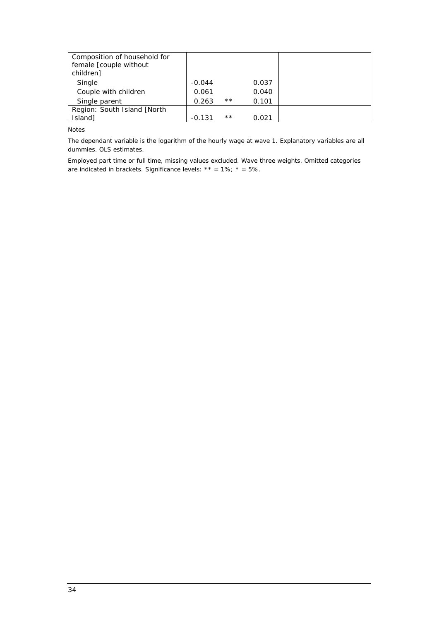| Composition of household for<br>female [couple without<br>children] |          |       |       |  |
|---------------------------------------------------------------------|----------|-------|-------|--|
| Single                                                              | $-0.044$ |       | 0.037 |  |
| Couple with children                                                | 0.061    |       | 0.040 |  |
| Single parent                                                       | 0.263    | $***$ | 0.101 |  |
| Region: South Island [North]                                        |          |       |       |  |
| Island]                                                             | $-0.131$ | $***$ | 0.021 |  |

Notes

The dependant variable is the logarithm of the hourly wage at wave 1. Explanatory variables are all dummies. OLS estimates.

Employed part time or full time, missing values excluded. Wave three weights. Omitted categories are indicated in brackets. Significance levels: \*\* =  $1\%$ ; \* =  $5\%$ .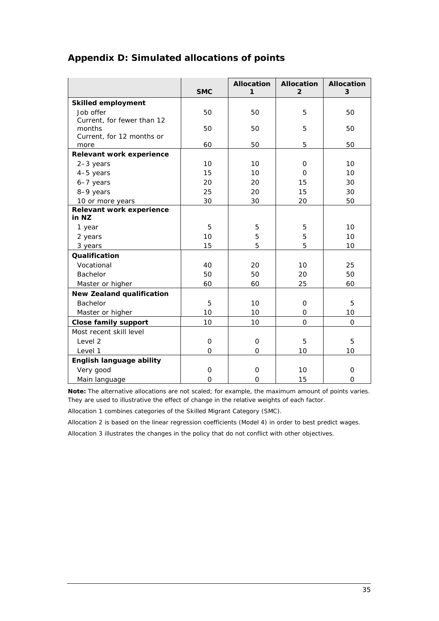|                                   | <b>SMC</b> | <b>Allocation</b><br>1 | <b>Allocation</b><br>$\overline{2}$ | <b>Allocation</b><br>3 |
|-----------------------------------|------------|------------------------|-------------------------------------|------------------------|
| <b>Skilled employment</b>         |            |                        |                                     |                        |
| Job offer                         | 50         | 50                     | 5                                   | 50                     |
| Current, for fewer than 12        |            |                        |                                     |                        |
| months                            | 50         | 50                     | 5                                   | 50                     |
| Current, for 12 months or         |            |                        | 5                                   |                        |
| more                              | 60         | 50                     |                                     | 50                     |
| Relevant work experience          |            |                        |                                     |                        |
| $2-3$ years                       | 10         | 10                     | $\mathbf{O}$<br>$\Omega$            | 10                     |
| 4-5 years                         | 15         | 10                     |                                     | 10                     |
| 6-7 years                         | 20         | 20                     | 15                                  | 30                     |
| 8-9 years                         | 25         | 20                     | 15                                  | 30                     |
| 10 or more years                  | 30         | 30                     | 20                                  | 50                     |
| Relevant work experience<br>in NZ |            |                        |                                     |                        |
| 1 year                            | 5          | 5                      | 5                                   | 10                     |
| 2 years                           | 10         | 5                      | 5                                   | 10                     |
| 3 years                           | 15         | 5                      | 5                                   | 10                     |
| Qualification                     |            |                        |                                     |                        |
| Vocational                        | 40         | 20                     | 10                                  | 25                     |
| <b>Bachelor</b>                   | 50         | 50                     | 20                                  | 50                     |
| Master or higher                  | 60         | 60                     | 25                                  | 60                     |
| <b>New Zealand qualification</b>  |            |                        |                                     |                        |
| <b>Bachelor</b>                   | 5          | 10                     | $\mathbf{O}$                        | 5                      |
| Master or higher                  | 10         | 10                     | $\mathbf{O}$                        | 10                     |
| <b>Close family support</b>       | 10         | 10                     | $\Omega$                            | $\Omega$               |
| Most recent skill level           |            |                        |                                     |                        |
| Level 2                           | 0          | $\mathbf 0$            | 5                                   | 5                      |
| Level 1                           | $\Omega$   | $\Omega$               | 10                                  | 10                     |
| English language ability          |            |                        |                                     |                        |
| Very good                         | 0          | 0                      | 10                                  | 0                      |
| Main language                     | $\Omega$   | $\mathbf{O}$           | 15                                  | $\Omega$               |

# <span id="page-40-0"></span>**Appendix D: Simulated allocations of points**

**Note:** The alternative allocations are not scaled; for example, the maximum amount of points varies. They are used to illustrative the effect of change in the relative weights of each factor.

Allocation 1 combines categories of the Skilled Migrant Category (SMC).

Allocation 2 is based on the linear regression coefficients (Model 4) in order to best predict wages.

Allocation 3 illustrates the changes in the policy that do not conflict with other objectives.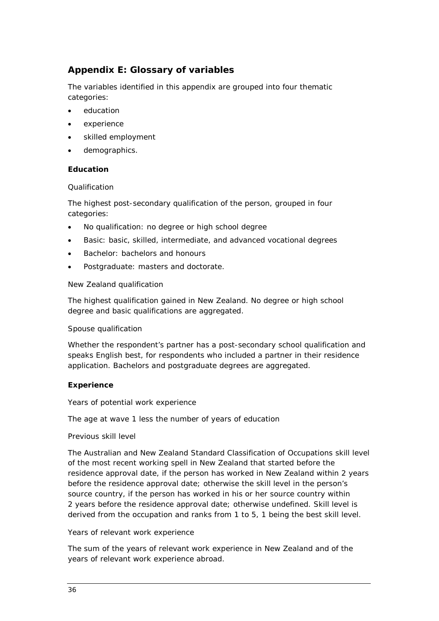# <span id="page-41-0"></span>**Appendix E: Glossary of variables**

The variables identified in this appendix are grouped into four thematic categories:

- education
- experience
- skilled employment
- demographics.

#### *Education*

#### *Qualification*

The highest post-secondary qualification of the person, grouped in four categories:

- No qualification: no degree or high school degree
- Basic: basic, skilled, intermediate, and advanced vocational degrees
- Bachelor: bachelors and honours
- Postgraduate: masters and doctorate.

#### *New Zealand qualification*

The highest qualification gained in New Zealand. No degree or high school degree and basic qualifications are aggregated.

#### *Spouse qualification*

Whether the respondent's partner has a post-secondary school qualification and speaks English best, for respondents who included a partner in their residence application. Bachelors and postgraduate degrees are aggregated.

#### *Experience*

#### *Years of potential work experience*

The age at wave 1 less the number of years of education

#### *Previous skill level*

The Australian and New Zealand Standard Classification of Occupations skill level of the most recent working spell in New Zealand that started before the residence approval date, if the person has worked in New Zealand within 2 years before the residence approval date; otherwise the skill level in the person's source country, if the person has worked in his or her source country within 2 years before the residence approval date; otherwise undefined. Skill level is derived from the occupation and ranks from 1 to 5, 1 being the best skill level.

#### *Years of relevant work experience*

The sum of the years of relevant work experience in New Zealand and of the years of relevant work experience abroad.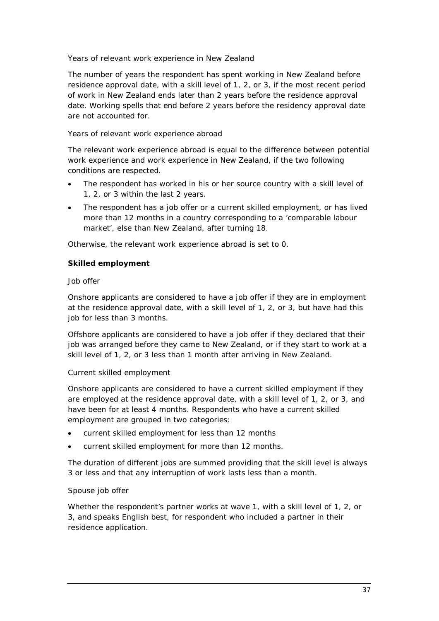### *Years of relevant work experience in New Zealand*

The number of years the respondent has spent working in New Zealand before residence approval date, with a skill level of 1, 2, or 3, if the most recent period of work in New Zealand ends later than 2 years before the residence approval date. Working spells that end before 2 years before the residency approval date are not accounted for.

### *Years of relevant work experience abroad*

The relevant work experience abroad is equal to the difference between potential work experience and work experience in New Zealand, if the two following conditions are respected.

- The respondent has worked in his or her source country with a skill level of 1, 2, or 3 within the last 2 years.
- The respondent has a job offer or a current skilled employment, or has lived more than 12 months in a country corresponding to a 'comparable labour market', else than New Zealand, after turning 18.

Otherwise, the relevant work experience abroad is set to 0.

### *Skilled employment*

#### *Job offer*

Onshore applicants are considered to have a job offer if they are in employment at the residence approval date, with a skill level of 1, 2, or 3, but have had this job for less than 3 months.

Offshore applicants are considered to have a job offer if they declared that their job was arranged before they came to New Zealand, or if they start to work at a skill level of 1, 2, or 3 less than 1 month after arriving in New Zealand.

### *Current skilled employment*

Onshore applicants are considered to have a current skilled employment if they are employed at the residence approval date, with a skill level of 1, 2, or 3, and have been for at least 4 months. Respondents who have a current skilled employment are grouped in two categories:

- current skilled employment for less than 12 months
- current skilled employment for more than 12 months.

The duration of different jobs are summed providing that the skill level is always 3 or less and that any interruption of work lasts less than a month.

### *Spouse job offer*

Whether the respondent's partner works at wave 1, with a skill level of 1, 2, or 3, and speaks English best, for respondent who included a partner in their residence application.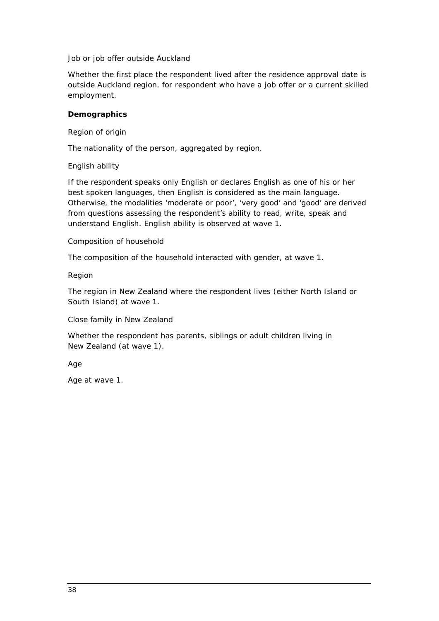#### *Job or job offer outside Auckland*

Whether the first place the respondent lived after the residence approval date is outside Auckland region, for respondent who have a job offer or a current skilled employment.

### *Demographics*

#### *Region of origin*

The nationality of the person, aggregated by region.

### *English ability*

If the respondent speaks only English or declares English as one of his or her best spoken languages, then English is considered as the main language. Otherwise, the modalities 'moderate or poor', 'very good' and 'good' are derived from questions assessing the respondent's ability to read, write, speak and understand English. English ability is observed at wave 1.

#### *Composition of household*

The composition of the household interacted with gender, at wave 1.

#### *Region*

The region in New Zealand where the respondent lives (either North Island or South Island) at wave 1.

#### *Close family in New Zealand*

Whether the respondent has parents, siblings or adult children living in New Zealand (at wave 1).

*Age*

Age at wave 1.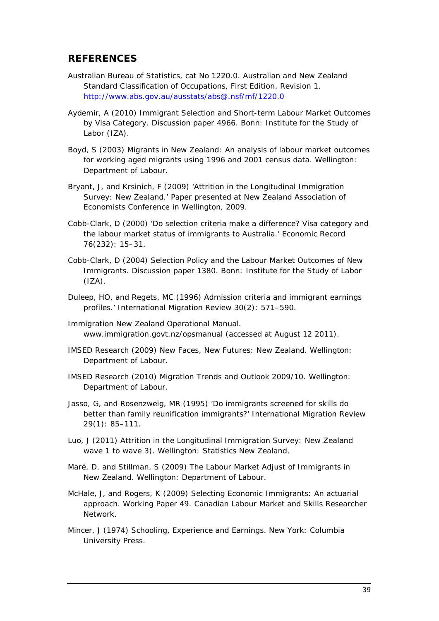# <span id="page-44-0"></span>**REFERENCES**

- Australian Bureau of Statistics, cat No 1220.0. Australian and New Zealand Standard Classification of Occupations, First Edition, Revision 1. <http://www.abs.gov.au/ausstats/abs@.nsf/mf/1220.0>
- Aydemir, A (2010) *Immigrant Selection and Short-term Labour Market Outcomes by Visa Category*. Discussion paper 4966. Bonn: Institute for the Study of Labor (IZA).
- Boyd, S (2003) *Migrants in New Zealand: An analysis of labour market outcomes for working aged migrants using 1996 and 2001 census data*. Wellington: Department of Labour.
- Bryant, J, and Krsinich, F (2009) 'Attrition in the Longitudinal Immigration Survey: New Zealand.' Paper presented at New Zealand Association of Economists Conference in Wellington, 2009.
- Cobb-Clark, D (2000) 'Do selection criteria make a difference? Visa category and the labour market status of immigrants to Australia.' *Economic Record*  76(232): 15–31.
- Cobb-Clark, D (2004) *Selection Policy and the Labour Market Outcomes of New Immigrants.* Discussion paper 1380. Bonn: Institute for the Study of Labor  $(IZA)$ .
- Duleep, HO, and Regets, MC (1996) Admission criteria and immigrant earnings profiles.' *International Migration Review* 30(2): 571–590.
- Immigration New Zealand *Operational Manual*. www.immigration.govt.nz/opsmanual (accessed at August 12 2011).
- IMSED Research (2009) *New Faces, New Futures: New Zealand*. Wellington: Department of Labour.
- IMSED Research (2010) *Migration Trends and Outlook 2009/10*. Wellington: Department of Labour.
- Jasso, G, and Rosenzweig, MR (1995) 'Do immigrants screened for skills do better than family reunification immigrants?' *International Migration Review*  29(1): 85–111.
- Luo, J (2011) *Attrition in the Longitudinal Immigration Survey: New Zealand wave 1 to wave 3)*. Wellington: Statistics New Zealand.
- Maré, D, and Stillman, S (2009) *The Labour Market Adjust of Immigrants in New Zealand*. Wellington: Department of Labour.
- McHale, J, and Rogers, K (2009) *Selecting Economic Immigrants: An actuarial approach.* Working Paper 49. Canadian Labour Market and Skills Researcher Network.
- Mincer, J (1974) *Schooling, Experience and Earnings*. New York: Columbia University Press.